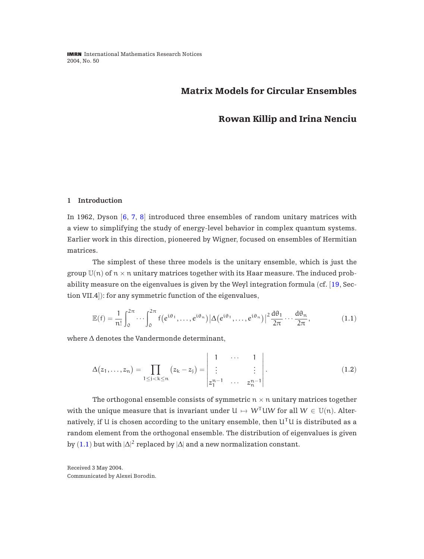# <span id="page-0-0"></span>**Matrix Models for Circular Ensembles**

# **Rowan Killip and Irina Nenciu**

#### **1 Introduction**

In 1962, Dyson [[6](#page-36-0), [7](#page-36-0), [8](#page-36-0)] introduced three ensembles of random unitary matrices with a view to simplifying the study of energy-level behavior in complex quantum systems. Earlier work in this direction, pioneered by Wigner, focused on ensembles of Hermitian matrices.

The simplest of these three models is the unitary ensemble, which is just the group  $\mathbb{U}(n)$  of  $n \times n$  unitary matrices together with its Haar measure. The induced probability measure on the eigenvalues is given by the Weyl integration formula (cf.  $[19, \text{Sec-}$  $[19, \text{Sec-}$  $[19, \text{Sec-}$ tion VII.4]): for any symmetric function of the eigenvalues,

$$
\mathbb{E}(f) = \frac{1}{n!} \int_0^{2\pi} \cdots \int_0^{2\pi} f(e^{i\theta_1}, \ldots, e^{i\theta_n}) |\Delta(e^{i\theta_1}, \ldots, e^{i\theta_n})|^2 \frac{d\theta_1}{2\pi} \cdots \frac{d\theta_n}{2\pi},
$$
\n(1.1)

where ∆ denotes the Vandermonde determinant,

$$
\Delta(z_1,...,z_n) = \prod_{1 \leq j < k \leq n} (z_k - z_j) = \begin{vmatrix} 1 & \cdots & 1 \\ \vdots & & \vdots \\ z_1^{n-1} & \cdots & z_n^{n-1} \end{vmatrix} . \tag{1.2}
$$

The orthogonal ensemble consists of symmetric  $n \times n$  unitary matrices together with the unique measure that is invariant under  $U \mapsto W^{T}UW$  for all  $W \in \mathbb{U}(n)$ . Alternatively, if U is chosen according to the unitary ensemble, then  $U<sup>T</sup>U$  is distributed as a random element from the orthogonal ensemble. The distribution of eigenvalues is given by  $(1.1)$  but with  $|\Delta|^2$  replaced by  $|\Delta|$  and a new normalization constant.

Received 3 May 2004. Communicated by Alexei Borodin.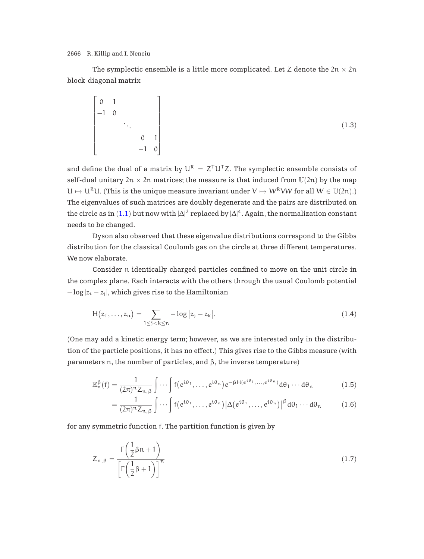<span id="page-1-0"></span>The symplectic ensemble is a little more complicated. Let Z denote the  $2n \times 2n$ block-diagonal matrix

$$
\begin{bmatrix} 0 & 1 & & & \\ -1 & 0 & & & \\ & & \ddots & & \\ & & & 0 & 1 \\ & & & -1 & 0 \end{bmatrix}
$$
 (1.3)

and define the dual of a matrix by  $U^R = Z^T U^T Z$ . The symplectic ensemble consists of self-dual unitary  $2n \times 2n$  matrices; the measure is that induced from  $U(2n)$  by the map  $U \mapsto U^{R}U$ . (This is the unique measure invariant under  $V \mapsto W^{R}VW$  for all  $W \in U(2n)$ .) The eigenvalues of such matrices are doubly degenerate and the pairs are distributed on the circle as in  $(1.1)$  $(1.1)$  $(1.1)$  but now with  $|\Delta|^2$  replaced by  $|\Delta|^4.$  Again, the normalization constant needs to be changed.

Dyson also observed that these eigenvalue distributions correspond to the Gibbs distribution for the classical Coulomb gas on the circle at three different temperatures. We now elaborate.

Consider n identically charged particles confined to move on the unit circle in the complex plane. Each interacts with the others through the usual Coulomb potential  $-\log|z_i - z_i|$ , which gives rise to the Hamiltonian

$$
H(z_1,...,z_n) = \sum_{1 \le j < k \le n} -\log|z_j - z_k|.\tag{1.4}
$$

(One may add a kinetic energy term; however, as we are interested only in the distribution of the particle positions, it has no effect.) This gives rise to the Gibbs measure (with parameters n, the number of particles, and β, the inverse temperature)

$$
\mathbb{E}_{n}^{\beta}(f) = \frac{1}{(2\pi)^{n} Z_{n,\beta}} \int \cdots \int f(e^{i\theta_{1}}, \ldots, e^{i\theta_{n}}) e^{-\beta H(e^{i\theta_{1}}, \ldots, e^{i\theta_{n}})} d\theta_{1} \cdots d\theta_{n}
$$
 (1.5)

$$
= \frac{1}{(2\pi)^n Z_{n,\beta}} \int \cdots \int f(e^{i\theta_1}, \ldots, e^{i\theta_n}) |\Delta(e^{i\theta_1}, \ldots, e^{i\theta_n})|^{\beta} d\theta_1 \cdots d\theta_n \qquad (1.6)
$$

for any symmetric function f. The partition function is given by

$$
Z_{n,\beta} = \frac{\Gamma\left(\frac{1}{2}\beta n + 1\right)}{\left[\Gamma\left(\frac{1}{2}\beta + 1\right)\right]^n} \tag{1.7}
$$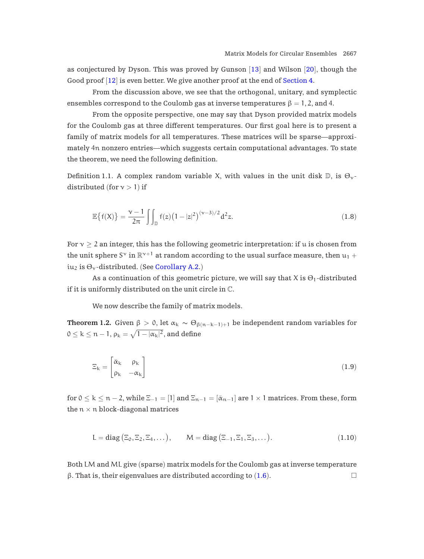<span id="page-2-0"></span>as conjectured by Dyson. This was proved by Gunson  $[13]$  $[13]$  $[13]$  and Wilson  $[20]$  $[20]$  $[20]$ , though the Good proof [[12](#page-36-0)] is even better. We give another proof at the end of [Section 4.](#page-16-0)

From the discussion above, we see that the orthogonal, unitary, and symplectic ensembles correspond to the Coulomb gas at inverse temperatures  $\beta = 1, 2,$  and 4.

From the opposite perspective, one may say that Dyson provided matrix models for the Coulomb gas at three different temperatures. Our first goal here is to present a family of matrix models for all temperatures. These matrices will be sparse—approximately 4n nonzero entries—which suggests certain computational advantages. To state the theorem, we need the following definition.

Definition 1.1. A complex random variable X, with values in the unit disk  $\mathbb{D}$ , is  $\Theta_{\gamma}$ distributed (for  $v > 1$ ) if

$$
\mathbb{E}\left\{f(X)\right\} = \frac{\gamma - 1}{2\pi} \int_{\mathbb{D}} f(z) \left(1 - |z|^2\right)^{(\gamma - 3)/2} d^2 z.
$$
 (1.8)

For  $v \geq 2$  an integer, this has the following geometric interpretation: if u is chosen from the unit sphere S<sup> $\vee$ </sup> in  $\mathbb{R}^{\gamma+1}$  at random according to the usual surface measure, then  $u_1 +$ iu<sub>2</sub> is  $\Theta_{\gamma}$ -distributed. (See [Corollary A.2.](#page-28-0))

As a continuation of this geometric picture, we will say that X is  $\Theta_1$ -distributed if it is uniformly distributed on the unit circle in C.

We now describe the family of matrix models.

**Theorem 1.2.** Given  $\beta > 0$ , let  $\alpha_k \sim \Theta_{\beta(n-k-1)+1}$  be independent random variables for  $0 \leq k \leq n-1$ ,  $\rho_k = \sqrt{1 - |\alpha_k|^2}$ , and define

$$
\Xi_{k} = \begin{bmatrix} \bar{\alpha}_{k} & \rho_{k} \\ \rho_{k} & -\alpha_{k} \end{bmatrix}
$$
 (1.9)

for  $0 \le k \le n-2$ , while  $\Xi_{-1} = [1]$  and  $\Xi_{n-1} = [\bar{\alpha}_{n-1}]$  are  $1 \times 1$  matrices. From these, form the  $n \times n$  block-diagonal matrices

$$
L = diag\left(\Xi_0, \Xi_2, \Xi_4, \dots\right), \qquad M = diag\left(\Xi_{-1}, \Xi_1, \Xi_3, \dots\right).
$$
\n
$$
(1.10)
$$

Both LM and ML give (sparse) matrix models for the Coulomb gas at inverse temperature β. That is, their eigenvalues are distributed according to  $(1.6)$  $(1.6)$  $(1.6)$ .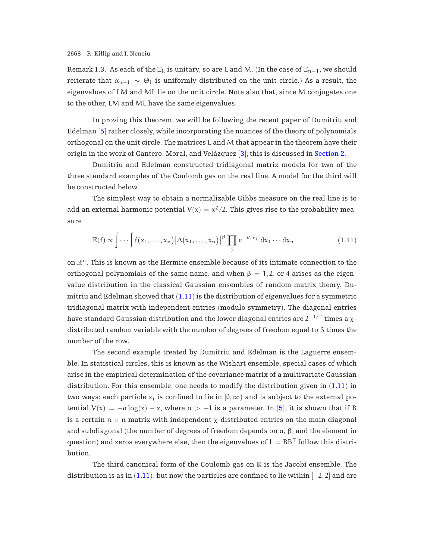Remark 1.3. As each of the  $\Xi_k$  is unitary, so are L and M. (In the case of  $\Xi_{n-1}$ , we should reiterate that  $\alpha_{n-1} \sim \Theta_1$  is uniformly distributed on the unit circle.) As a result, the eigenvalues of LM and ML lie on the unit circle. Note also that, since M conjugates one to the other, LM and ML have the same eigenvalues.

In proving this theorem, we will be following the recent paper of Dumitriu and Edelman [[5](#page-36-0)] rather closely, while incorporating the nuances of the theory of polynomials orthogonal on the unit circle. The matrices L and M that appear in the theorem have their origin in the work of Cantero, Moral, and Velázquez  $[3]$  $[3]$  $[3]$ ; this is discussed in [Section 2.](#page-5-0)

Dumitriu and Edelman constructed tridiagonal matrix models for two of the three standard examples of the Coulomb gas on the real line. A model for the third will be constructed below.

The simplest way to obtain a normalizable Gibbs measure on the real line is to add an external harmonic potential  $V(x) = x^2/2$ . This gives rise to the probability measure

$$
\mathbb{E}(f) \propto \int \cdots \int f(x_1, \ldots, x_n) |\Delta(x_1, \ldots, x_n)|^{\beta} \prod_j e^{-V(x_j)} dx_1 \cdots dx_n \tag{1.11}
$$

on  $\mathbb{R}^n$ . This is known as the Hermite ensemble because of its intimate connection to the orthogonal polynomials of the same name, and when  $β = 1,2$ , or 4 arises as the eigenvalue distribution in the classical Gaussian ensembles of random matrix theory. Dumitriu and Edelman showed that  $(1.11)$  is the distribution of eigenvalues for a symmetric tridiagonal matrix with independent entries (modulo symmetry). The diagonal entries have standard Gaussian distribution and the lower diagonal entries are  $2^{-1/2}$  times a  $\chi$ distributed random variable with the number of degrees of freedom equal to  $\beta$  times the number of the row.

The second example treated by Dumitriu and Edelman is the Laguerre ensemble. In statistical circles, this is known as the Wishart ensemble, special cases of which arise in the empirical determination of the covariance matrix of a multivariate Gaussian distribution. For this ensemble, one needs to modify the distribution given in  $(1.11)$  in two ways: each particle  $x_i$  is confined to lie in  $[0, \infty)$  and is subject to the external potential  $V(x) = -a \log(x) + x$ , where  $a > -1$  is a parameter. In [[5](#page-36-0)], it is shown that if B is a certain  $n \times n$  matrix with independent  $\chi$ -distributed entries on the main diagonal and subdiagonal (the number of degrees of freedom depends on  $a, \beta$ , and the element in question) and zeros everywhere else, then the eigenvalues of  $L = BB^{T}$  follow this distribution.

The third canonical form of the Coulomb gas on  $\mathbb R$  is the Jacobi ensemble. The distribution is as in  $(1.11)$ , but now the particles are confined to lie within  $[-2, 2]$  and are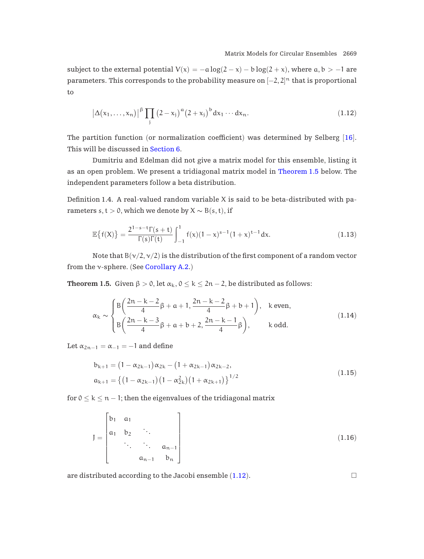<span id="page-4-0"></span>subject to the external potential  $V(x) = -a \log(2 - x) - b \log(2 + x)$ , where  $a, b > -1$  are parameters. This corresponds to the probability measure on  $[-2,2]^{\mathfrak{n}}$  that is proportional to

$$
\left|\Delta(x_1,\ldots,x_n)\right|^{\beta} \prod_j \left(2-x_j\right)^{\alpha} \left(2+x_j\right)^{\beta} dx_1\cdots dx_n.
$$
\n(1.12)

The partition function (or normalization coefficient) was determined by Selberg [[16](#page-36-0)]. This will be discussed in [Section 6.](#page-23-0)

Dumitriu and Edelman did not give a matrix model for this ensemble, listing it as an open problem. We present a tridiagonal matrix model in Theorem 1.5 below. The independent parameters follow a beta distribution.

Definition 1.4. A real-valued random variable  $X$  is said to be beta-distributed with parameters s, t > 0, which we denote by  $X \sim B(s, t)$ , if

$$
\mathbb{E}\left\{f(X)\right\} = \frac{2^{1-s-t}\Gamma(s+t)}{\Gamma(s)\Gamma(t)} \int_{-1}^{1} f(x)(1-x)^{s-1}(1+x)^{t-1} dx.
$$
 (1.13)

Note that  $B(\nu/2, \nu/2)$  is the distribution of the first component of a random vector from the  $\nu$ -sphere. (See [Corollary A.2.](#page-28-0))

**Theorem 1.5.** Given  $\beta > 0$ , let  $\alpha_k$ ,  $0 \le k \le 2n - 2$ , be distributed as follows:

$$
\alpha_{k} \sim \begin{cases} B\left(\frac{2n-k-2}{4}\beta + a + 1, \frac{2n-k-2}{4}\beta + b + 1\right), & k \text{ even,} \\ B\left(\frac{2n-k-3}{4}\beta + a + b + 2, \frac{2n-k-1}{4}\beta\right), & k \text{ odd.} \end{cases}
$$
(1.14)

Let  $\alpha_{2n-1} = \alpha_{-1} = -1$  and define

$$
b_{k+1} = (1 - \alpha_{2k-1})\alpha_{2k} - (1 + \alpha_{2k-1})\alpha_{2k-2},
$$
  
\n
$$
a_{k+1} = \{ (1 - \alpha_{2k-1}) (1 - \alpha_{2k}^2) (1 + \alpha_{2k+1}) \}^{1/2}
$$
\n(1.15)

for  $0 \le k \le n - 1$ ; then the eigenvalues of the tridiagonal matrix

$$
J = \begin{bmatrix} b_1 & a_1 & & & \\ a_1 & b_2 & \ddots & & \\ & \ddots & \ddots & a_{n-1} \\ & & a_{n-1} & b_n \end{bmatrix}
$$
 (1.16)

are distributed according to the Jacobi ensemble  $(1.12)$ .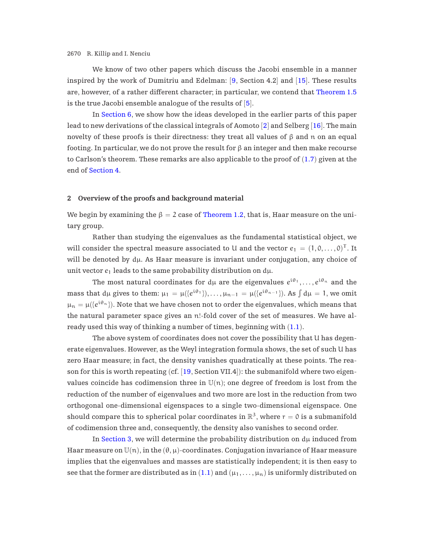<span id="page-5-0"></span>We know of two other papers which discuss the Jacobi ensemble in a manner inspired by the work of Dumitriu and Edelman: [[9](#page-36-0), Section 4.2] and [[15](#page-36-0)]. These results are, however, of a rather different character; in particular, we contend that [Theorem 1.5](#page-4-0) is the true Jacobi ensemble analogue of the results of  $[5]$  $[5]$  $[5]$ .

In [Section 6](#page-23-0), we show how the ideas developed in the earlier parts of this paper lead to new derivations of the classical integrals of Aomoto [[2](#page-35-0)] and Selberg [[16](#page-36-0)]. The main novelty of these proofs is their directness: they treat all values of β and n on an equal footing. In particular, we do not prove the result for  $\beta$  an integer and then make recourse to Carlson's theorem. These remarks are also applicable to the proof of ([1.7](#page-1-0)) given at the end of [Section 4.](#page-16-0)

## **2 Overview of the proofs and background material**

We begin by examining the  $\beta = 2$  case of [Theorem 1.2](#page-2-0), that is, Haar measure on the unitary group.

Rather than studying the eigenvalues as the fundamental statistical object, we will consider the spectral measure associated to U and the vector  $e_1 = (1, 0, \ldots, 0)^T$ . It will be denoted by  $d\mu$ . As Haar measure is invariant under conjugation, any choice of unit vector  $e_1$  leads to the same probability distribution on d $\mu$ .

The most natural coordinates for d<sub>µ</sub> are the eigenvalues  $e^{i\theta_1}, \ldots, e^{i\theta_n}$  and the mass that  $d\mu$  gives to them:  $\mu_1 = \mu({e^{i\theta_1}}), \ldots, \mu_{n-1} = \mu({e^{i\theta_{n-1}}})$ . As  $\int d\mu = 1$ , we omit  $\mu_n = \mu({e^{i\theta_n}})$ . Note that we have chosen not to order the eigenvalues, which means that the natural parameter space gives an n!-fold cover of the set of measures. We have already used this way of thinking a number of times, beginning with ([1.1](#page-0-0)).

The above system of coordinates does not cover the possibility that U has degenerate eigenvalues. However, as the Weyl integration formula shows, the set of such U has zero Haar measure; in fact, the density vanishes quadratically at these points. The reason for this is worth repeating (cf. [[19](#page-36-0), Section VII.4]): the submanifold where two eigenvalues coincide has codimension three in  $U(n)$ ; one degree of freedom is lost from the reduction of the number of eigenvalues and two more are lost in the reduction from two orthogonal one-dimensional eigenspaces to a single two-dimensional eigenspace. One should compare this to spherical polar coordinates in  $\mathbb{R}^3$ , where  $r = 0$  is a submanifold of codimension three and, consequently, the density also vanishes to second order.

In [Section 3](#page-10-0), we will determine the probability distribution on  $d\mu$  induced from Haar measure on  $\mathbb{U}(n)$ , in the  $(\theta, \mu)$ -coordinates. Conjugation invariance of Haar measure implies that the eigenvalues and masses are statistically independent; it is then easy to see that the former are distributed as in  $(1.1)$  $(1.1)$  $(1.1)$  and  $(\mu_1,\ldots,\mu_n)$  is uniformly distributed on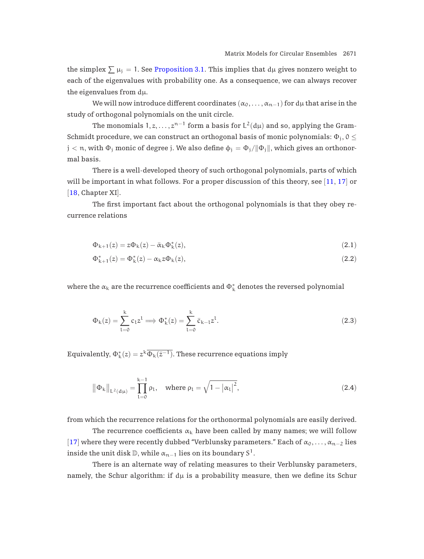<span id="page-6-0"></span>the simplex  $\sum \mu_j = 1$ . See [Proposition 3.1.](#page-10-0) This implies that  $d\mu$  gives nonzero weight to each of the eigenvalues with probability one. As a consequence, we can always recover the eigenvalues from  $d\mu$ .

We will now introduce different coordinates  $(\alpha_0,\ldots,\alpha_{n-1})$  for dµ that arise in the study of orthogonal polynomials on the unit circle.

The monomials  $1, z, \ldots, z^{n-1}$  form a basis for  $L^2(d\mu)$  and so, applying the Gram-Schmidt procedure, we can construct an orthogonal basis of monic polynomials:  $\Phi_i$ ,  $0 \leq$  $j < n$ , with  $\Phi_j$  monic of degree j. We also define  $\phi_j = \Phi_j / ||\Phi_j||$ , which gives an orthonormal basis.

There is a well-developed theory of such orthogonal polynomials, parts of which will be important in what follows. For a proper discussion of this theory, see [[11](#page-36-0), [17](#page-36-0)] or [[18](#page-36-0), Chapter XI].

The first important fact about the orthogonal polynomials is that they obey recurrence relations

$$
\Phi_{k+1}(z) = z\Phi_k(z) - \bar{\alpha}_k \Phi_k^*(z),\tag{2.1}
$$

$$
\Phi_{k+1}^*(z) = \Phi_k^*(z) - \alpha_k z \Phi_k(z),\tag{2.2}
$$

where the  $\alpha_{\rm k}$  are the recurrence coefficients and  $\Phi_{\rm k}^*$  denotes the reversed polynomial

$$
\Phi_{k}(z) = \sum_{l=0}^{k} c_{l} z^{l} \Longrightarrow \Phi_{k}^{*}(z) = \sum_{l=0}^{k} \bar{c}_{k-l} z^{l}.
$$
\n(2.3)

Equivalently,  $\Phi^{\ast}_{{\bf k}}(z)=z^k\overline{\Phi_{{\bf k}}(\bar z^{-1})}.$  These recurrence equations imply

$$
\left\|\Phi_{k}\right\|_{L^{2}(d\mu)} = \prod_{l=0}^{k-1} \rho_{l}, \quad \text{where } \rho_{l} = \sqrt{1 - \left|\alpha_{l}\right|^{2}}, \tag{2.4}
$$

from which the recurrence relations for the orthonormal polynomials are easily derived.

The recurrence coefficients  $\alpha_k$  have been called by many names; we will follow [[17](#page-36-0)] where they were recently dubbed "Verblunsky parameters." Each of  $\alpha_0, \ldots, \alpha_{n-2}$  lies inside the unit disk  $\mathbb{D}$ , while  $\alpha_{n-1}$  lies on its boundary S<sup>1</sup>.

There is an alternate way of relating measures to their Verblunsky parameters, namely, the Schur algorithm: if  $d\mu$  is a probability measure, then we define its Schur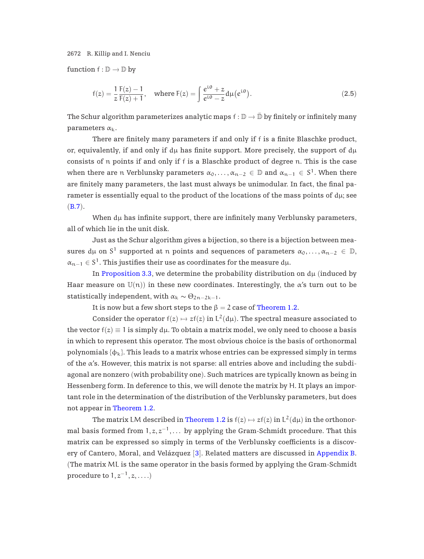function  $f : \mathbb{D} \to \mathbb{D}$  by

$$
f(z) = \frac{1}{z} \frac{F(z) - 1}{F(z) + 1}, \quad \text{where } F(z) = \int \frac{e^{i\theta} + z}{e^{i\theta} - z} d\mu(e^{i\theta}).
$$
 (2.5)

The Schur algorithm parameterizes analytic maps  $f : \mathbb{D} \to \bar{\mathbb{D}}$  by finitely or infinitely many parameters  $\alpha_k$ .

There are finitely many parameters if and only if f is a finite Blaschke product, or, equivalently, if and only if  $d\mu$  has finite support. More precisely, the support of  $d\mu$ consists of n points if and only if f is a Blaschke product of degree n. This is the case when there are n Verblunsky parameters  $\alpha_0, \ldots, \alpha_{n-2} \in \mathbb{D}$  and  $\alpha_{n-1} \in S^1$ . When there are finitely many parameters, the last must always be unimodular. In fact, the final parameter is essentially equal to the product of the locations of the mass points of  $d\mu$ ; see  $(B.7).$  $(B.7).$  $(B.7).$ 

When  $d\mu$  has infinite support, there are infinitely many Verblunsky parameters, all of which lie in the unit disk.

Just as the Schur algorithm gives a bijection, so there is a bijection between measures dµ on S<sup>1</sup> supported at n points and sequences of parameters  $\alpha_0, \ldots, \alpha_{n-2} \in \mathbb{D}$ ,  $\alpha_{n-1} \in S^1$ . This justifies their use as coordinates for the measure dµ.

In [Proposition 3.3](#page-12-0), we determine the probability distribution on  $d\mu$  (induced by Haar measure on  $U(n)$ ) in these new coordinates. Interestingly, the  $\alpha$ 's turn out to be statistically independent, with  $\alpha_k \sim \Theta_{2n-2k-1}$ .

It is now but a few short steps to the  $\beta = 2$  case of [Theorem 1.2.](#page-2-0)

Consider the operator  $f(z) \mapsto z f(z)$  in  $L^2(d\mu)$ . The spectral measure associated to the vector  $f(z) \equiv 1$  is simply  $d\mu$ . To obtain a matrix model, we only need to choose a basis in which to represent this operator. The most obvious choice is the basis of orthonormal polynomials  $\{\phi_k\}$ . This leads to a matrix whose entries can be expressed simply in terms of the  $\alpha$ 's. However, this matrix is not sparse: all entries above and including the subdiagonal are nonzero (with probability one). Such matrices are typically known as being in Hessenberg form. In deference to this, we will denote the matrix by H. It plays an important role in the determination of the distribution of the Verblunsky parameters, but does not appear in [Theorem 1.2.](#page-2-0)

The matrix LM described in [Theorem 1.2](#page-2-0) is  $f(z) \mapsto z f(z)$  in  $L^2(d\mu)$  in the orthonormal basis formed from  $1, z, z^{-1}, \ldots$  by applying the Gram-Schmidt procedure. That this matrix can be expressed so simply in terms of the Verblunsky coefficients is a discovery of Cantero, Moral, and Velázquez  $[3]$  $[3]$  $[3]$ . Related matters are discussed in [Appendix B.](#page-30-0) (The matrix ML is the same operator in the basis formed by applying the Gram-Schmidt procedure to  $1, z^{-1}, z, \ldots$ )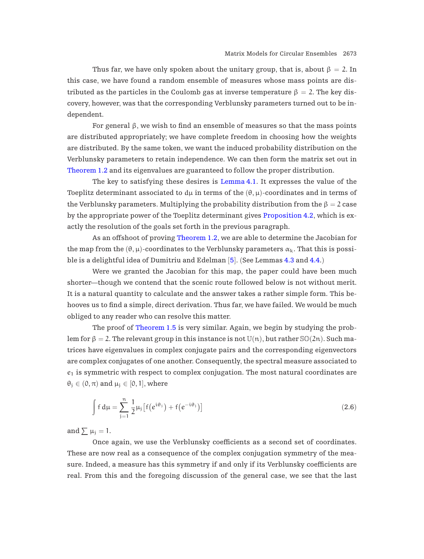<span id="page-8-0"></span>Thus far, we have only spoken about the unitary group, that is, about  $\beta = 2$ . In this case, we have found a random ensemble of measures whose mass points are distributed as the particles in the Coulomb gas at inverse temperature  $\beta = 2$ . The key discovery, however, was that the corresponding Verblunsky parameters turned out to be independent.

For general  $β$ , we wish to find an ensemble of measures so that the mass points are distributed appropriately; we have complete freedom in choosing how the weights are distributed. By the same token, we want the induced probability distribution on the Verblunsky parameters to retain independence. We can then form the matrix set out in [Theorem 1.2](#page-2-0) and its eigenvalues are guaranteed to follow the proper distribution.

The key to satisfying these desires is [Lemma 4.1.](#page-16-0) It expresses the value of the Toeplitz determinant associated to d<sub>H</sub> in terms of the  $(\theta, \mu)$ -coordinates and in terms of the Verblunsky parameters. Multiplying the probability distribution from the  $\beta = 2$  case by the appropriate power of the Toeplitz determinant gives [Proposition 4.2](#page-18-0), which is exactly the resolution of the goals set forth in the previous paragraph.

As an offshoot of proving [Theorem 1.2](#page-2-0), we are able to determine the Jacobian for the map from the  $(\theta, \mu)$ -coordinates to the Verblunsky parameters  $\alpha_k$ . That this is possible is a delightful idea of Dumitriu and Edelman [[5](#page-36-0)]. (See Lemmas [4.3](#page-18-0) and [4.4.](#page-19-0))

Were we granted the Jacobian for this map, the paper could have been much shorter—though we contend that the scenic route followed below is not without merit. It is a natural quantity to calculate and the answer takes a rather simple form. This behooves us to find a simple, direct derivation. Thus far, we have failed. We would be much obliged to any reader who can resolve this matter.

The proof of [Theorem 1.5](#page-4-0) is very similar. Again, we begin by studying the problem for  $\beta = 2$ . The relevant group in this instance is not  $\mathbb{U}(n)$ , but rather  $\mathbb{S}\mathbb{O}(2n)$ . Such matrices have eigenvalues in complex conjugate pairs and the corresponding eigenvectors are complex conjugates of one another. Consequently, the spectral measure associated to  $e_1$  is symmetric with respect to complex conjugation. The most natural coordinates are  $\theta_i \in (0, \pi)$  and  $\mu_i \in [0, 1]$ , where

$$
\int f d\mu = \sum_{j=1}^{n} \frac{1}{2} \mu_j \left[ f(e^{i\theta_j}) + f(e^{-i\theta_j}) \right]
$$
\n(2.6)

and  $\sum \mu_i = 1$ .

Once again, we use the Verblunsky coefficients as a second set of coordinates. These are now real as a consequence of the complex conjugation symmetry of the measure. Indeed, a measure has this symmetry if and only if its Verblunsky coefficients are real. From this and the foregoing discussion of the general case, we see that the last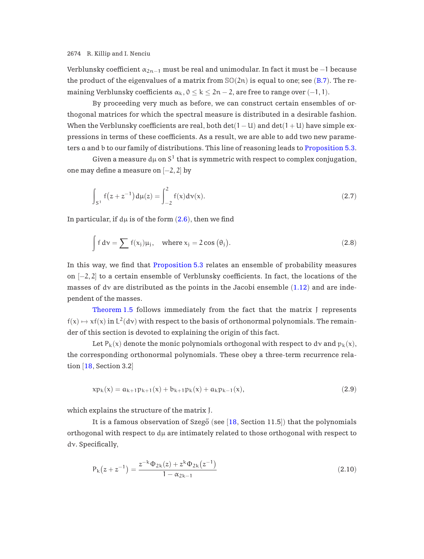<span id="page-9-0"></span>Verblunsky coefficient  $\alpha_{2n-1}$  must be real and unimodular. In fact it must be −1 because the product of the eigenvalues of a matrix from  $\mathcal{SO}(2n)$  is equal to one; see ([B.7](#page-31-0)). The remaining Verblunsky coefficients  $\alpha_k$ ,  $0 \le k \le 2n-2$ , are free to range over  $(-1,1)$ .

By proceeding very much as before, we can construct certain ensembles of orthogonal matrices for which the spectral measure is distributed in a desirable fashion. When the Verblunsky coefficients are real, both  $det(1 - U)$  and  $det(1 + U)$  have simple expressions in terms of these coefficients. As a result, we are able to add two new parameters a and b to our family of distributions. This line of reasoning leads to [Proposition 5.3.](#page-22-0)

Given a measure  $d\mu$  on  $S^1$  that is symmetric with respect to complex conjugation, one may define a measure on [−2, 2] by

$$
\int_{S^1} f(z + z^{-1}) d\mu(z) = \int_{-2}^2 f(x) d\nu(x).
$$
 (2.7)

In particular, if  $d\mu$  is of the form  $(2.6)$  $(2.6)$  $(2.6)$ , then we find

$$
\int f d\nu = \sum f(x_j) \mu_j, \quad \text{where } x_j = 2 \cos (\theta_j).
$$
 (2.8)

In this way, we find that [Proposition 5.3](#page-22-0) relates an ensemble of probability measures on [−2, 2] to a certain ensemble of Verblunsky coefficients. In fact, the locations of the masses of dv are distributed as the points in the Jacobi ensemble  $(1.12)$  $(1.12)$  $(1.12)$  and are independent of the masses.

[Theorem 1.5](#page-4-0) follows immediately from the fact that the matrix J represents  $f(x) \mapsto xf(x)$  in  $L^2(dy)$  with respect to the basis of orthonormal polynomials. The remainder of this section is devoted to explaining the origin of this fact.

Let  $P_k(x)$  denote the monic polynomials orthogonal with respect to dv and  $p_k(x)$ , the corresponding orthonormal polynomials. These obey a three-term recurrence relation [[18](#page-36-0), Section 3.2]

$$
x p_k(x) = a_{k+1} p_{k+1}(x) + b_{k+1} p_k(x) + a_k p_{k-1}(x),
$$
\n(2.9)

which explains the structure of the matrix J.

It is a famous observation of Szegő (see  $[18, Section 11.5])$  $[18, Section 11.5])$  $[18, Section 11.5])$  that the polynomials orthogonal with respect to  $d\mu$  are intimately related to those orthogonal with respect to dν. Specifically,

$$
P_{k}(z + z^{-1}) = \frac{z^{-k} \Phi_{2k}(z) + z^{k} \Phi_{2k}(z^{-1})}{1 - \alpha_{2k-1}}
$$
\n(2.10)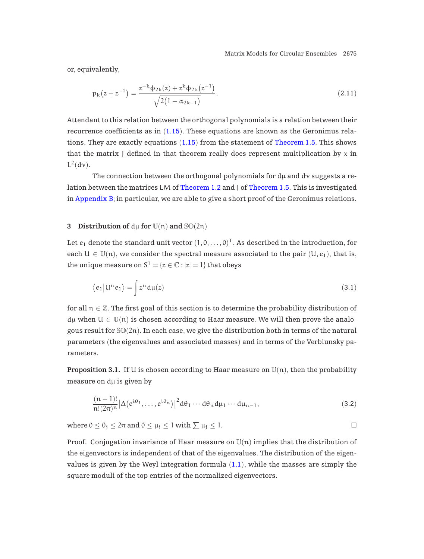<span id="page-10-0"></span>or, equivalently,

$$
p_{k}(z+z^{-1}) = \frac{z^{-k}\phi_{2k}(z) + z^{k}\phi_{2k}(z^{-1})}{\sqrt{2(1-\alpha_{2k-1})}}.
$$
\n(2.11)

Attendant to this relation between the orthogonal polynomials is a relation between their recurrence coefficients as in ([1.15](#page-4-0)). These equations are known as the Geronimus relations. They are exactly equations ([1.15](#page-4-0)) from the statement of [Theorem 1.5.](#page-4-0) This shows that the matrix J defined in that theorem really does represent multiplication by  $x$  in  $L^2(\text{d}\nu)$ .

The connection between the orthogonal polynomials for  $d\mu$  and  $d\nu$  suggests a re-lation between the matrices LM of [Theorem 1.2](#page-2-0) and J of [Theorem 1.5.](#page-4-0) This is investigated in [Appendix B](#page-30-0); in particular, we are able to give a short proof of the Geronimus relations.

### **3** Distribution of  $d\mu$  for  $U(n)$  and  $\mathcal{SO}(2n)$

Let  $e_1$  denote the standard unit vector  $(1, 0, \ldots, 0)^T$ . As described in the introduction, for each  $U \in \mathbb{U}(n)$ , we consider the spectral measure associated to the pair  $(U, e_1)$ , that is, the unique measure on  $S^1 = \{z \in \mathbb{C} : |z| = 1\}$  that obeys

$$
\langle e_1 | \mathbf{u}^{\mathsf{n}} e_1 \rangle = \int z^{\mathsf{n}} \, \mathbf{d}\mu(z) \tag{3.1}
$$

for all  $n \in \mathbb{Z}$ . The first goal of this section is to determine the probability distribution of  $d\mu$  when  $U \in \mathbb{U}(n)$  is chosen according to Haar measure. We will then prove the analogous result for  $\mathcal{S}(\mathcal{Q}(2n))$ . In each case, we give the distribution both in terms of the natural parameters (the eigenvalues and associated masses) and in terms of the Verblunsky parameters.

**Proposition 3.1.** If U is chosen according to Haar measure on  $\mathbb{U}(n)$ , then the probability measure on  $d\mu$  is given by

$$
\frac{(n-1)!}{n!(2\pi)^n} |\Delta(e^{i\theta_1}, \dots, e^{i\theta_n})|^2 d\theta_1 \cdots d\theta_n d\mu_1 \cdots d\mu_{n-1},
$$
\n(3.2)

where  $0 \le \theta_j \le 2\pi$  and  $0 \le \mu_j \le 1$  with  $\sum \mu_j \le 1$ .

Proof. Conjugation invariance of Haar measure on  $\mathbb{U}(n)$  implies that the distribution of the eigenvectors is independent of that of the eigenvalues. The distribution of the eigenvalues is given by the Weyl integration formula  $(1.1)$  $(1.1)$  $(1.1)$ , while the masses are simply the square moduli of the top entries of the normalized eigenvectors.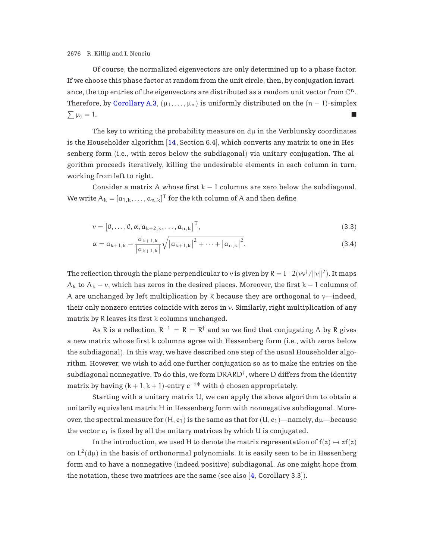<span id="page-11-0"></span>Of course, the normalized eigenvectors are only determined up to a phase factor. If we choose this phase factor at random from the unit circle, then, by conjugation invariance, the top entries of the eigenvectors are distributed as a random unit vector from  $\mathbb{C}^n$ . Therefore, by [Corollary A.3](#page-28-0),  $(\mu_1, \ldots, \mu_n)$  is uniformly distributed on the  $(n-1)$ -simplex  $\sum \mu_j = 1.$ 

The key to writing the probability measure on  $d\mu$  in the Verblunsky coordinates is the Householder algorithm  $[14, Section 6.4]$  $[14, Section 6.4]$  $[14, Section 6.4]$ , which converts any matrix to one in Hessenberg form (i.e., with zeros below the subdiagonal) via unitary conjugation. The algorithm proceeds iteratively, killing the undesirable elements in each column in turn, working from left to right.

Consider a matrix A whose first  $k - 1$  columns are zero below the subdiagonal. We write  $A_k = [a_{1,k}, \ldots, a_{n,k}]^{\mathsf{T}}$  for the kth column of A and then define

$$
\mathbf{v} = \begin{bmatrix} 0, \dots, 0, \alpha, a_{k+2,k}, \dots, a_{n,k} \end{bmatrix}^{\mathsf{T}},\tag{3.3}
$$

$$
\alpha = a_{k+1,k} - \frac{a_{k+1,k}}{|a_{k+1,k}|} \sqrt{|a_{k+1,k}|^2 + \dots + |a_{n,k}|^2}.
$$
\n(3.4)

The reflection through the plane perpendicular to v is given by  $R = I - 2(vv^{\dagger}/||v||^2)$ . It maps  $A_k$  to  $A_k - v$ , which has zeros in the desired places. Moreover, the first k – 1 columns of A are unchanged by left multiplication by R because they are orthogonal to  $\nu$ —indeed, their only nonzero entries coincide with zeros in  $\nu$ . Similarly, right multiplication of any matrix by R leaves its first k columns unchanged.

As R is a reflection,  $R^{-1} = R = R^{\dagger}$  and so we find that conjugating A by R gives a new matrix whose first k columns agree with Hessenberg form (i.e., with zeros below the subdiagonal). In this way, we have described one step of the usual Householder algorithm. However, we wish to add one further conjugation so as to make the entries on the subdiagonal nonnegative. To do this, we form  $DRARD^{\dagger}$ , where D differs from the identity matrix by having  $(k + 1, k + 1)$ -entry  $e^{-i\phi}$  with  $\phi$  chosen appropriately.

Starting with a unitary matrix U, we can apply the above algorithm to obtain a unitarily equivalent matrix H in Hessenberg form with nonnegative subdiagonal. Moreover, the spectral measure for  $(H, e_1)$  is the same as that for  $(U, e_1)$ —namely,  $d\mu$ —because the vector  $e_1$  is fixed by all the unitary matrices by which U is conjugated.

In the introduction, we used H to denote the matrix representation of  $f(z) \mapsto z f(z)$ on  $L^2(\mathrm{d}\mu)$  in the basis of orthonormal polynomials. It is easily seen to be in Hessenberg form and to have a nonnegative (indeed positive) subdiagonal. As one might hope from the notation, these two matrices are the same (see also  $[4,$  $[4,$  $[4,$  Corollary 3.3]).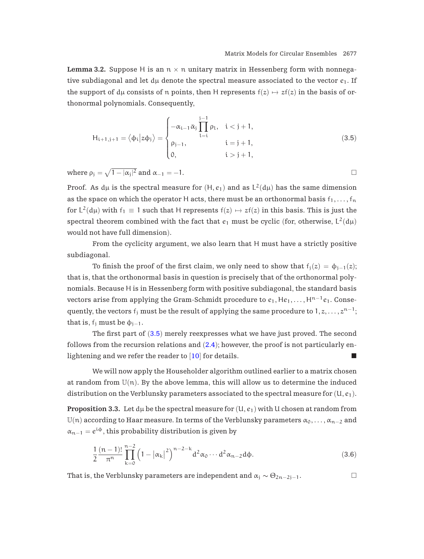<span id="page-12-0"></span>**Lemma 3.2.** Suppose H is an  $n \times n$  unitary matrix in Hessenberg form with nonnegative subdiagonal and let  $d\mu$  denote the spectral measure associated to the vector  $e_1$ . If the support of du consists of n points, then H represents  $f(z) \mapsto z f(z)$  in the basis of orthonormal polynomials. Consequently,

$$
H_{i+1,j+1} = \langle \phi_i | z \phi_j \rangle = \begin{cases} -\alpha_{i-1} \bar{\alpha}_j \prod_{l=i}^{j-1} \rho_l, & i < j+1, \\ \rho_{j-1}, & i = j+1, \\ 0, & i > j+1, \end{cases}
$$
(3.5)

where  $\rho_j = \sqrt{1 - |\alpha_j|^2}$  and  $\alpha_{-1} = -1$ .

Proof. As  $d\mu$  is the spectral measure for  $(H, e_1)$  and as  $L^2(d\mu)$  has the same dimension as the space on which the operator H acts, there must be an orthonormal basis  $f_1, \ldots, f_n$ for  $L^2(d\mu)$  with  $f_1 \equiv 1$  such that H represents  $f(z) \mapsto z f(z)$  in this basis. This is just the spectral theorem combined with the fact that  $e_1$  must be cyclic (for, otherwise,  $L^2(d\mu)$ ) would not have full dimension).

From the cyclicity argument, we also learn that H must have a strictly positive subdiagonal.

To finish the proof of the first claim, we only need to show that  $f_i(z) = \phi_{i-1}(z)$ ; that is, that the orthonormal basis in question is precisely that of the orthonormal polynomials. Because H is in Hessenberg form with positive subdiagonal, the standard basis vectors arise from applying the Gram-Schmidt procedure to  $e_1, He_1,...,H^{n-1}e_1$ . Consequently, the vectors  $f_j$  must be the result of applying the same procedure to  $1, z, \ldots, z^{n-1}$ ; that is,  $f_i$  must be  $\phi_{i-1}$ .

The first part of  $(3.5)$  merely reexpresses what we have just proved. The second follows from the recursion relations and  $(2.4)$  $(2.4)$  $(2.4)$ ; however, the proof is not particularly enlightening and we refer the reader to  $[10]$  $[10]$  $[10]$  for details.

We will now apply the Householder algorithm outlined earlier to a matrix chosen at random from  $U(n)$ . By the above lemma, this will allow us to determine the induced distribution on the Verblunsky parameters associated to the spectral measure for  $(U, e_1)$ .

**Proposition 3.3.** Let  $d\mu$  be the spectral measure for  $(U, e_1)$  with U chosen at random from U(n) according to Haar measure. In terms of the Verblunsky parameters  $\alpha_0, \ldots, \alpha_{n-2}$  and  $\alpha_{n-1} = e^{i\phi}$ , this probability distribution is given by

$$
\frac{1}{2} \frac{(n-1)!}{\pi^n} \prod_{k=0}^{n-2} \left(1 - |\alpha_k|^2\right)^{n-2-k} d^2 \alpha_0 \cdots d^2 \alpha_{n-2} d\phi.
$$
 (3.6)

That is, the Verblunsky parameters are independent and  $\alpha_j \sim \Theta_{2n-2j-1}$ .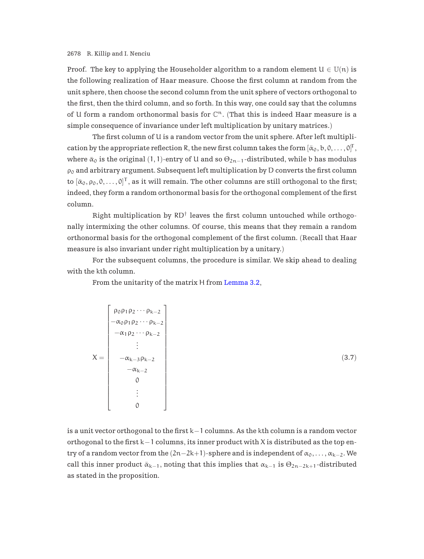Proof. The key to applying the Householder algorithm to a random element  $U \in \mathbb{U}(n)$  is the following realization of Haar measure. Choose the first column at random from the unit sphere, then choose the second column from the unit sphere of vectors orthogonal to the first, then the third column, and so forth. In this way, one could say that the columns of U form a random orthonormal basis for  $\mathbb{C}^n$ . (That this is indeed Haar measure is a simple consequence of invariance under left multiplication by unitary matrices.)

The first column of U is a random vector from the unit sphere. After left multiplication by the appropriate reflection R, the new first column takes the form  $[\bar{\alpha}_0, b, 0, \ldots, 0]^T,$ where  $\bar{\alpha}_0$  is the original (1, 1)-entry of U and so  $\Theta_{2n-1}$ -distributed, while b has modulus  $\rho_0$  and arbitrary argument. Subsequent left multiplication by D converts the first column to  $[\bar{\alpha}_0, \rho_0, 0, \ldots, 0]^T$ , as it will remain. The other columns are still orthogonal to the first; indeed, they form a random orthonormal basis for the orthogonal complement of the first column.

Right multiplication by  $RD^{\dagger}$  leaves the first column untouched while orthogonally intermixing the other columns. Of course, this means that they remain a random orthonormal basis for the orthogonal complement of the first column. (Recall that Haar measure is also invariant under right multiplication by a unitary.)

For the subsequent columns, the procedure is similar. We skip ahead to dealing with the kth column.

From the unitarity of the matrix H from [Lemma 3.2](#page-12-0),

$$
X = \begin{bmatrix} \rho_0 \rho_1 \rho_2 \cdots \rho_{k-2} \\ -\alpha_0 \rho_1 \rho_2 \cdots \rho_{k-2} \\ -\alpha_1 \rho_2 \cdots \rho_{k-2} \\ \vdots \\ -\alpha_{k-3} \rho_{k-2} \\ 0 \\ 0 \\ \vdots \\ 0 \end{bmatrix}
$$
 (3.7)

is a unit vector orthogonal to the first k−1 columns. As the kth column is a random vector orthogonal to the first k−1 columns, its inner product with X is distributed as the top entry of a random vector from the  $(2n-2k+1)$ -sphere and is independent of  $\alpha_0,\ldots,\alpha_{k-2}$ . We call this inner product  $\bar{\alpha}_{k-1}$ , noting that this implies that  $\alpha_{k-1}$  is  $\Theta_{2n-2k+1}$ -distributed as stated in the proposition.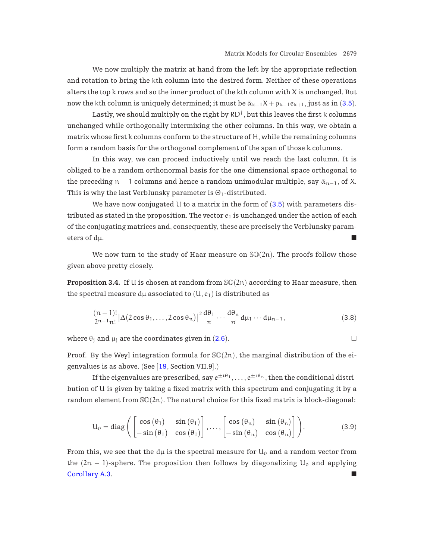<span id="page-14-0"></span>We now multiply the matrix at hand from the left by the appropriate reflection and rotation to bring the kth column into the desired form. Neither of these operations alters the top  $k$  rows and so the inner product of the  $k$ th column with  $X$  is unchanged. But now the kth column is uniquely determined; it must be  $\bar{\alpha}_{k-1}X + \rho_{k-1}e_{k+1}$ , just as in ([3.5](#page-12-0)).

Lastly, we should multiply on the right by  $RD^{\dagger}$ , but this leaves the first k columns unchanged while orthogonally intermixing the other columns. In this way, we obtain a matrix whose first k columns conform to the structure of H, while the remaining columns form a random basis for the orthogonal complement of the span of those k columns.

In this way, we can proceed inductively until we reach the last column. It is obliged to be a random orthonormal basis for the one-dimensional space orthogonal to the preceding  $n - 1$  columns and hence a random unimodular multiple, say  $\bar{\alpha}_{n-1}$ , of X. This is why the last Verblunsky parameter is  $\Theta_1$ -distributed.

We have now conjugated U to a matrix in the form of  $(3.5)$  $(3.5)$  $(3.5)$  with parameters distributed as stated in the proposition. The vector  $e_1$  is unchanged under the action of each of the conjugating matrices and, consequently, these are precisely the Verblunsky parameters of  $d\mu$ .

We now turn to the study of Haar measure on  $\mathbb{SO}(2n)$ . The proofs follow those given above pretty closely.

**Proposition 3.4.** If U is chosen at random from  $\mathbb{SO}(2n)$  according to Haar measure, then the spectral measure  $d\mu$  associated to  $(U, e_1)$  is distributed as

$$
\frac{(n-1)!}{2^{n-1}n!} |\Delta(2\cos\theta_1,\ldots,2\cos\theta_n)|^2 \frac{d\theta_1}{\pi} \cdots \frac{d\theta_n}{\pi} d\mu_1 \cdots d\mu_{n-1},
$$
\n(3.8)

where  $\theta_i$  and  $\mu_i$  are the coordinates given in ([2.6](#page-8-0)).

Proof. By the Weyl integration formula for  $\mathcal{S}(\mathcal{Q}(2n))$ , the marginal distribution of the eigenvalues is as above. (See [[19](#page-36-0), Section VII.9].)

If the eigenvalues are prescribed, say  $e^{\pm i\theta_1}, \ldots, e^{\pm i\theta_n}$ , then the conditional distribution of U is given by taking a fixed matrix with this spectrum and conjugating it by a random element from  $\mathcal{SO}(2n)$ . The natural choice for this fixed matrix is block-diagonal:

$$
U_0 = diag\left(\begin{bmatrix} \cos(\theta_1) & \sin(\theta_1) \\ -\sin(\theta_1) & \cos(\theta_1) \end{bmatrix}, \dots, \begin{bmatrix} \cos(\theta_n) & \sin(\theta_n) \\ -\sin(\theta_n) & \cos(\theta_n) \end{bmatrix}\right).
$$
(3.9)

From this, we see that the d $\mu$  is the spectral measure for  $U_0$  and a random vector from the  $(2n - 1)$ -sphere. The proposition then follows by diagonalizing  $U_0$  and applying **[Corollary A.3.](#page-28-0)**  $\blacksquare$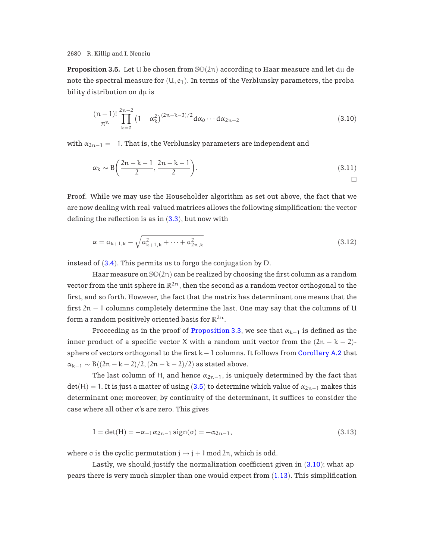<span id="page-15-0"></span>**Proposition 3.5.** Let U be chosen from  $\mathbb{SO}(2n)$  according to Haar measure and let  $d\mu$  denote the spectral measure for  $(U, e_1)$ . In terms of the Verblunsky parameters, the probability distribution on du is

$$
\frac{(n-1)!}{\pi^n} \prod_{k=0}^{2n-2} (1 - \alpha_k^2)^{(2n-k-3)/2} d\alpha_0 \cdots d\alpha_{2n-2}
$$
\n(3.10)

with  $\alpha_{2n-1} = -1$ . That is, the Verblunsky parameters are independent and

$$
\alpha_k \sim B\left(\frac{2n-k-1}{2}, \frac{2n-k-1}{2}\right). \tag{3.11}
$$

Proof. While we may use the Householder algorithm as set out above, the fact that we are now dealing with real-valued matrices allows the following simplification: the vector defining the reflection is as in  $(3.3)$  $(3.3)$  $(3.3)$ , but now with

$$
\alpha = a_{k+1,k} - \sqrt{a_{k+1,k}^2 + \dots + a_{2n,k}^2}
$$
\n(3.12)

instead of ([3.4](#page-11-0)). This permits us to forgo the conjugation by D.

Haar measure on  $\mathbb{SO}(2n)$  can be realized by choosing the first column as a random vector from the unit sphere in  $\mathbb{R}^{2n}$ , then the second as a random vector orthogonal to the first, and so forth. However, the fact that the matrix has determinant one means that the first  $2n - 1$  columns completely determine the last. One may say that the columns of U form a random positively oriented basis for  $\mathbb{R}^{2n}$ .

Proceeding as in the proof of [Proposition 3.3](#page-12-0), we see that  $\alpha_{k-1}$  is defined as the inner product of a specific vector X with a random unit vector from the  $(2n - k - 2)$ sphere of vectors orthogonal to the first  $k - 1$  columns. It follows from [Corollary A.2](#page-28-0) that  $\alpha_{k-1} \sim B((2n-k-2)/2,(2n-k-2)/2)$  as stated above.

The last column of H, and hence  $\alpha_{2n-1}$ , is uniquely determined by the fact that  $det(H) = 1$ . It is just a matter of using ([3.5](#page-12-0)) to determine which value of  $\alpha_{2n-1}$  makes this determinant one; moreover, by continuity of the determinant, it suffices to consider the case where all other  $\alpha$ 's are zero. This gives

$$
1 = \det(H) = -\alpha_{-1} \alpha_{2n-1} \text{sign}(\sigma) = -\alpha_{2n-1},
$$
\n(3.13)

where  $\sigma$  is the cyclic permutation  $j \mapsto j + 1 \mod 2n$ , which is odd.

Lastly, we should justify the normalization coefficient given in (3.10); what appears there is very much simpler than one would expect from ([1.13](#page-4-0)). This simplification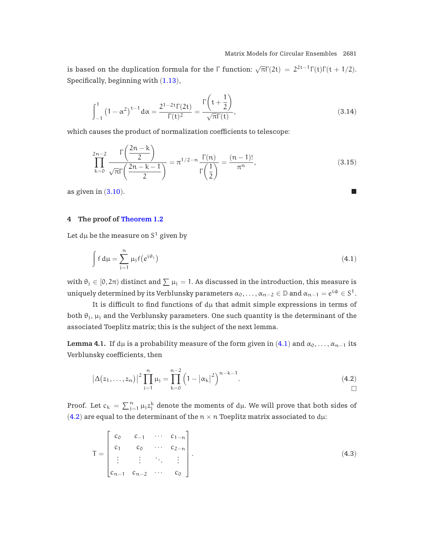<span id="page-16-0"></span>is based on the duplication formula for the  $\Gamma$  function:  $\sqrt{\pi}\Gamma(2t) = 2^{2t-1}\Gamma(t)\Gamma(t + 1/2)$ . Specifically, beginning with ([1.13](#page-4-0)),

$$
\int_{-1}^{1} (1 - \alpha^2)^{t-1} d\alpha = \frac{2^{1-2t} \Gamma(2t)}{\Gamma(t)^2} = \frac{\Gamma\left(t + \frac{1}{2}\right)}{\sqrt{\pi} \Gamma(t)},
$$
\n(3.14)

which causes the product of normalization coefficients to telescope:

$$
\prod_{k=0}^{2n-2} \frac{\Gamma\left(\frac{2n-k}{2}\right)}{\sqrt{\pi}\Gamma\left(\frac{2n-k-1}{2}\right)} = \pi^{1/2-n} \frac{\Gamma(n)}{\Gamma\left(\frac{1}{2}\right)} = \frac{(n-1)!}{\pi^n},\tag{3.15}
$$

as given in  $(3.10)$  $(3.10)$  $(3.10)$ .

# **4 The proof of [Theorem 1.2](#page-2-0)**

Let  $d\mu$  be the measure on  $S^1$  given by

$$
\int f d\mu = \sum_{j=1}^{n} \mu_j f(e^{i\theta_j})
$$
\n(4.1)

with  $\theta_j \in [0, 2\pi)$  distinct and  $\sum \mu_j = 1$ . As discussed in the introduction, this measure is uniquely determined by its Verblunsky parameters  $\alpha_0,\ldots,\alpha_{n-2}\in\mathbb{D}$  and  $\alpha_{n-1}=e^{i\phi}\in S^1$ .

It is difficult to find functions of  $d\mu$  that admit simple expressions in terms of both  $\theta_i$ ,  $\mu_i$  and the Verblunsky parameters. One such quantity is the determinant of the associated Toeplitz matrix; this is the subject of the next lemma.

**Lemma 4.1.** If dµ is a probability measure of the form given in  $(4.1)$  and  $\alpha_0, \ldots, \alpha_{n-1}$  its Verblunsky coefficients, then

$$
\left|\Delta(z_1,\ldots,z_n)\right|^2 \prod_{j=1}^n \mu_j = \prod_{k=0}^{n-2} \left(1 - \left|\alpha_k\right|^2\right)^{n-k-1}.
$$
\n(4.2)

Proof. Let  $c_k = \sum_{j=1}^n \mu_j z_j^k$  denote the moments of d $\mu$ . We will prove that both sides of (4.2) are equal to the determinant of the  $n \times n$  Toeplitz matrix associated to d $\mu$ :

$$
T = \begin{bmatrix} c_0 & c_{-1} & \cdots & c_{1-n} \\ c_1 & c_0 & \cdots & c_{2-n} \\ \vdots & \vdots & \ddots & \vdots \\ c_{n-1} & c_{n-2} & \cdots & c_0 \end{bmatrix}.
$$
 (4.3)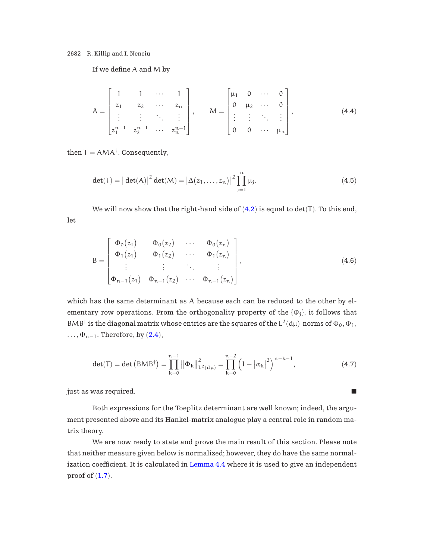If we define A and M by

$$
A = \begin{bmatrix} 1 & 1 & \cdots & 1 \\ z_1 & z_2 & \cdots & z_n \\ \vdots & \vdots & \ddots & \vdots \\ z_1^{n-1} & z_2^{n-1} & \cdots & z_n^{n-1} \end{bmatrix}, \qquad M = \begin{bmatrix} \mu_1 & 0 & \cdots & 0 \\ 0 & \mu_2 & \cdots & 0 \\ \vdots & \vdots & \ddots & \vdots \\ 0 & 0 & \cdots & \mu_n \end{bmatrix}, \qquad (4.4)
$$

then  $T = AMA^{\dagger}$ . Consequently,

let

$$
det(T) = |det(A)|^{2} det(M) = |\Delta(z_{1},...,z_{n})|^{2} \prod_{j=1}^{n} \mu_{j}.
$$
 (4.5)

We will now show that the right-hand side of  $(4.2)$  $(4.2)$  $(4.2)$  is equal to det(T). To this end,

$$
B = \begin{bmatrix} \Phi_0(z_1) & \Phi_0(z_2) & \cdots & \Phi_0(z_n) \\ \Phi_1(z_1) & \Phi_1(z_2) & \cdots & \Phi_1(z_n) \\ \vdots & \vdots & \ddots & \vdots \\ \Phi_{n-1}(z_1) & \Phi_{n-1}(z_2) & \cdots & \Phi_{n-1}(z_n) \end{bmatrix},
$$
(4.6)

which has the same determinant as A because each can be reduced to the other by elementary row operations. From the orthogonality property of the  $\{\Phi_i\}$ , it follows that BMB<sup>†</sup> is the diagonal matrix whose entries are the squares of the  $L^2(d\mu)$ -norms of  $\Phi_0$ ,  $\Phi_1$ ,  $\ldots, \Phi_{n-1}$ . Therefore, by ([2.4](#page-6-0)),

$$
\det(\mathsf{T}) = \det\left(BMB^{\dagger}\right) = \prod_{k=0}^{n-1} \left\|\Phi_k\right\|_{\mathsf{L}^2(d\mu)}^2 = \prod_{k=0}^{n-2} \left(1 - \left|\alpha_k\right|^2\right)^{n-k-1},\tag{4.7}
$$

 $j$ ust as was required.

Both expressions for the Toeplitz determinant are well known; indeed, the argument presented above and its Hankel-matrix analogue play a central role in random matrix theory.

We are now ready to state and prove the main result of this section. Please note that neither measure given below is normalized; however, they do have the same normalization coefficient. It is calculated in [Lemma 4.4](#page-19-0) where it is used to give an independent proof of  $(1.7)$  $(1.7)$  $(1.7)$ .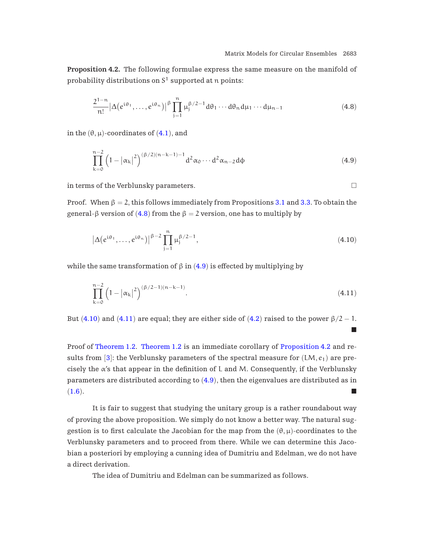<span id="page-18-0"></span>**Proposition 4.2.** The following formulae express the same measure on the manifold of probability distributions on  $S^1$  supported at n points:

$$
\frac{2^{1-n}}{n!} |\Delta(e^{i\theta_1}, \dots, e^{i\theta_n})|^\beta \prod_{j=1}^n \mu_j^{\beta/2-1} d\theta_1 \cdots d\theta_n d\mu_1 \cdots d\mu_{n-1}
$$
\n(4.8)

in the  $(\theta, \mu)$ -coordinates of  $(4.1)$  $(4.1)$  $(4.1)$ , and

$$
\prod_{k=0}^{n-2} \left(1 - \left|\alpha_k\right|^2\right)^{(\beta/2)(n-k-1)-1} d^2 \alpha_0 \cdots d^2 \alpha_{n-2} d\varphi \tag{4.9}
$$

in terms of the Verblunsky parameters.

Proof. When  $\beta = 2$ , this follows immediately from Propositions [3.1](#page-10-0) and [3.3.](#page-12-0) To obtain the general-β version of (4.8) from the  $β = 2$  version, one has to multiply by

$$
\left|\Delta\left(e^{i\theta_1},\ldots,e^{i\theta_n}\right)\right|^{\beta-2}\prod_{j=1}^n\mu_j^{\beta/2-1},\tag{4.10}
$$

while the same transformation of β in  $(4.9)$  is effected by multiplying by

$$
\prod_{k=0}^{n-2} \left(1 - \left|\alpha_k\right|^2\right)^{(\beta/2 - 1)(n-k-1)}.\tag{4.11}
$$

But (4.10) and (4.11) are equal; they are either side of ([4.2](#page-16-0)) raised to the power  $\beta/2 - 1$ . -

Proof of [Theorem 1.2.](#page-2-0) [Theorem 1.2](#page-2-0) is an immediate corollary of Proposition 4.2 and re-sults from [[3](#page-36-0)]: the Verblunsky parameters of the spectral measure for  $(LM, e_1)$  are precisely the α's that appear in the definition of L and M. Consequently, if the Verblunsky parameters are distributed according to (4.9), then the eigenvalues are distributed as in  $(1.6).$  $(1.6).$  $(1.6).$ 

It is fair to suggest that studying the unitary group is a rather roundabout way of proving the above proposition. We simply do not know a better way. The natural suggestion is to first calculate the Jacobian for the map from the  $(\theta, \mu)$ -coordinates to the Verblunsky parameters and to proceed from there. While we can determine this Jacobian a posteriori by employing a cunning idea of Dumitriu and Edelman, we do not have a direct derivation.

The idea of Dumitriu and Edelman can be summarized as follows.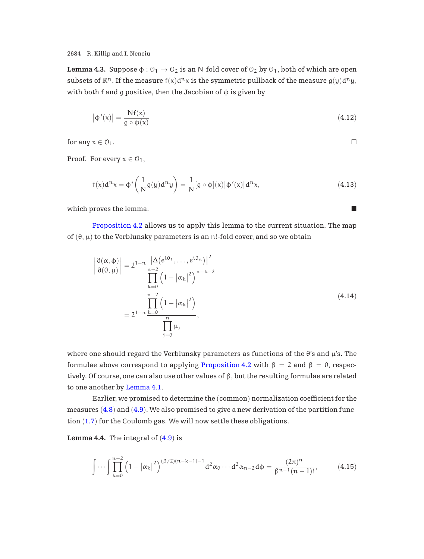<span id="page-19-0"></span>**Lemma 4.3.** Suppose  $\phi: \mathcal{O}_1 \to \mathcal{O}_2$  is an N-fold cover of  $\mathcal{O}_2$  by  $\mathcal{O}_1$ , both of which are open subsets of  $\mathbb{R}^n$ . If the measure  $f(x)d^n x$  is the symmetric pullback of the measure  $g(y)d^n y$ , with both f and g positive, then the Jacobian of  $\phi$  is given by

$$
\left|\phi'(x)\right| = \frac{Nf(x)}{g \circ \phi(x)}\tag{4.12}
$$

for any  $x \in \mathcal{O}_1$ .

Proof. For every  $x \in \mathcal{O}_1$ ,

$$
f(x)d^{n}x = \phi^* \left(\frac{1}{N}g(y)d^{n}y\right) = \frac{1}{N}[g \circ \phi](x)|\phi'(x)|d^{n}x,
$$
\n(4.13)

 $\Box$ 

which proves the lemma.

[Proposition 4.2](#page-18-0) allows us to apply this lemma to the current situation. The map of  $(\theta, \mu)$  to the Verblunsky parameters is an n!-fold cover, and so we obtain

$$
\left| \frac{\partial(\alpha, \phi)}{\partial(\theta, \mu)} \right| = 2^{1-n} \frac{\left| \Delta(e^{i\theta_1}, \dots, e^{i\theta_n}) \right|^2}{\prod_{k=0}^{n-2} \left( 1 - \left| \alpha_k \right|^2 \right)^{n-k-2}}
$$
\n
$$
= 2^{1-n} \frac{\prod_{k=0}^{n-2} \left( 1 - \left| \alpha_k \right|^2 \right)}{\prod_{j=0}^{n} \mu_j},
$$
\n(4.14)

where one should regard the Verblunsky parameters as functions of the  $\theta$ 's and  $\mu$ 's. The formulae above correspond to applying [Proposition 4.2](#page-18-0) with  $\beta = 2$  and  $\beta = 0$ , respectively. Of course, one can also use other values of  $\beta$ , but the resulting formulae are related to one another by [Lemma 4.1.](#page-16-0)

Earlier, we promised to determine the (common) normalization coefficient for the measures ([4.8](#page-18-0)) and ([4.9](#page-18-0)). We also promised to give a new derivation of the partition function ([1.7](#page-1-0)) for the Coulomb gas. We will now settle these obligations.

**Lemma 4.4.** The integral of  $(4.9)$  $(4.9)$  $(4.9)$  is

$$
\int \cdots \int \prod_{k=0}^{n-2} \left(1 - \left|\alpha_k\right|^2\right)^{(\beta/2)(n-k-1)-1} d^2 \alpha_0 \cdots d^2 \alpha_{n-2} d\varphi = \frac{(2\pi)^n}{\beta^{n-1}(n-1)!},\tag{4.15}
$$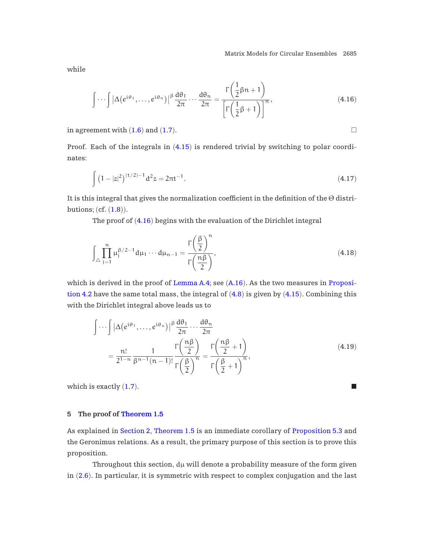while

$$
\int \cdots \int \left| \Delta(e^{i\theta_1}, \ldots, e^{i\theta_n}) \right|^\beta \frac{d\theta_1}{2\pi} \cdots \frac{d\theta_n}{2\pi} = \frac{\Gamma\left(\frac{1}{2}\beta n + 1\right)}{\left[\Gamma\left(\frac{1}{2}\beta + 1\right)\right]^n},\tag{4.16}
$$

in agreement with  $(1.6)$  $(1.6)$  $(1.6)$  and  $(1.7)$  $(1.7)$  $(1.7)$ .

Proof. Each of the integrals in  $(4.15)$  $(4.15)$  $(4.15)$  is rendered trivial by switching to polar coordinates:

$$
\int (1-|z|^2)^{(t/2)-1} d^2 z = 2\pi t^{-1}.
$$
\n(4.17)

It is this integral that gives the normalization coefficient in the definition of the Θ distributions; (cf. ([1.8](#page-2-0))).

The proof of (4.16) begins with the evaluation of the Dirichlet integral

$$
\int_{\triangle} \prod_{j=1}^{n} \mu_j^{\beta/2 - 1} d\mu_1 \cdots d\mu_{n-1} = \frac{\Gamma\left(\frac{\beta}{2}\right)^n}{\Gamma\left(\frac{n\beta}{2}\right)},\tag{4.18}
$$

which is derived in the proof of Lemma  $A.4$ ; see  $(A.16)$  $(A.16)$  $(A.16)$ . As the two measures in [Proposi](#page-18-0)[tion 4.2](#page-18-0) have the same total mass, the integral of  $(4.8)$  $(4.8)$  $(4.8)$  is given by  $(4.15)$  $(4.15)$  $(4.15)$ . Combining this with the Dirichlet integral above leads us to

$$
\int \cdots \int |\Delta(e^{i\theta_1}, \ldots, e^{i\theta_n})|^{\beta} \frac{d\theta_1}{2\pi} \cdots \frac{d\theta_n}{2\pi}
$$
  
= 
$$
\frac{n!}{2^{1-n}} \frac{1}{\beta^{n-1}(n-1)!} \frac{\Gamma\left(\frac{n\beta}{2}\right)}{\Gamma\left(\frac{\beta}{2}\right)^n} = \frac{\Gamma\left(\frac{n\beta}{2}+1\right)}{\Gamma\left(\frac{\beta}{2}+1\right)^n},
$$
(4.19)

which is exactly  $(1.7)$  $(1.7)$  $(1.7)$ .

# **5 The proof of [Theorem 1.5](#page-4-0)**

As explained in [Section 2](#page-5-0), [Theorem 1.5](#page-4-0) is an immediate corollary of [Proposition 5.3](#page-22-0) and the Geronimus relations. As a result, the primary purpose of this section is to prove this proposition.

Throughout this section,  $d\mu$  will denote a probability measure of the form given in ([2.6](#page-8-0)). In particular, it is symmetric with respect to complex conjugation and the last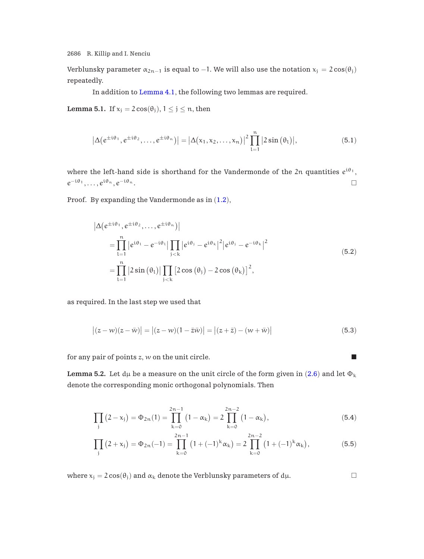<span id="page-21-0"></span>Verblunsky parameter  $\alpha_{2n-1}$  is equal to -1. We will also use the notation  $x_j = 2\cos(\theta_j)$ repeatedly.

In addition to [Lemma 4.1](#page-16-0), the following two lemmas are required.

**Lemma 5.1.** If  $x_i = 2\cos(\theta_i)$ ,  $1 \leq j \leq n$ , then

$$
\left|\Delta\big(e^{\pm\mathfrak{i}\theta_1},e^{\pm\mathfrak{i}\theta_2},\ldots,e^{\pm\mathfrak{i}\theta_n}\big)\right|=\left|\Delta\big(x_1,x_2,\ldots,x_n\big)\right|^2\prod_{l=1}^n\left|2\sin\big(\theta_l\big)\right|,\tag{5.1}
$$

where the left-hand side is shorthand for the Vandermonde of the 2n quantities  $e^{i\theta_1}$ ,  $e^{-i\theta_1}, \ldots, e^{i\theta_n}, e^{-i\theta_n}.$ 

Proof. By expanding the Vandermonde as in ([1.2](#page-0-0)),

$$
\begin{split} \left| \Delta(e^{\pm i\theta_{1}}, e^{\pm i\theta_{2}}, \ldots, e^{\pm i\theta_{n}}) \right| \\ &= \prod_{l=1}^{n} \left| e^{i\theta_{1}} - e^{-i\theta_{l}} \right| \prod_{j < k} \left| e^{i\theta_{j}} - e^{i\theta_{k}} \right|^{2} \left| e^{i\theta_{j}} - e^{-i\theta_{k}} \right|^{2} \\ &= \prod_{l=1}^{n} \left| 2\sin\left(\theta_{l}\right) \right| \prod_{j < k} \left[ 2\cos\left(\theta_{j}\right) - 2\cos\left(\theta_{k}\right) \right]^{2}, \end{split} \tag{5.2}
$$

as required. In the last step we used that

$$
\left| (z - w)(z - \bar{w}) \right| = \left| (z - w)(1 - \bar{z}\bar{w}) \right| = \left| (z + \bar{z}) - (w + \bar{w}) \right| \tag{5.3}
$$

for any pair of points  $z$ ,  $w$  on the unit circle.

**Lemma 5.2.** Let  $d\mu$  be a measure on the unit circle of the form given in ([2.6](#page-8-0)) and let  $\Phi_k$ denote the corresponding monic orthogonal polynomials. Then

$$
\prod_{j} (2 - x_j) = \Phi_{2n}(1) = \prod_{k=0}^{2n-1} (1 - \alpha_k) = 2 \prod_{k=0}^{2n-2} (1 - \alpha_k), \tag{5.4}
$$

$$
\prod_{j} (2 + x_j) = \Phi_{2n}(-1) = \prod_{k=0}^{2n-1} (1 + (-1)^k \alpha_k) = 2 \prod_{k=0}^{2n-2} (1 + (-1)^k \alpha_k), \tag{5.5}
$$

where  $x_j = 2 \cos(\theta_j)$  and  $\alpha_k$  denote the Verblunsky parameters of d $\mu$ .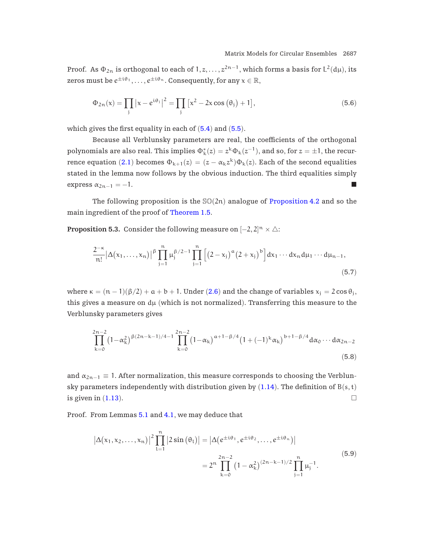<span id="page-22-0"></span>Proof. As  $\Phi_{2n}$  is orthogonal to each of  $1, z, \ldots, z^{2n-1}$ , which forms a basis for  $L^2(d\mu)$ , its zeros must be  $e^{\pm i\theta_1}, \ldots, e^{\pm i\theta_n}$ . Consequently, for any  $x \in \mathbb{R}$ ,

$$
\Phi_{2n}(x) = \prod_{j} |x - e^{i\theta_j}|^2 = \prod_{j} [x^2 - 2x \cos(\theta_j) + 1],\tag{5.6}
$$

which gives the first equality in each of  $(5.4)$  $(5.4)$  $(5.4)$  and  $(5.5)$  $(5.5)$  $(5.5)$ .

Because all Verblunsky parameters are real, the coefficients of the orthogonal polynomials are also real. This implies  $\Phi_k^*(z)=z^k\Phi_k(z^{-1}),$  and so, for  $z=\pm 1,$  the recur-rence equation ([2.1](#page-6-0)) becomes  $\Phi_{k+1}(z) = (z - \alpha_k z^k) \Phi_k(z)$ . Each of the second equalities stated in the lemma now follows by the obvious induction. The third equalities simply express  $\alpha_{2n-1} = -1$ .

The following proposition is the  $\mathcal{SO}(2n)$  analogue of [Proposition 4.2](#page-18-0) and so the main ingredient of the proof of [Theorem 1.5.](#page-4-0)

**Proposition 5.3.** Consider the following measure on  $[-2,2]^n \times \triangle$ :

$$
\frac{2^{-\kappa}}{n!} |\Delta(x_1, \ldots, x_n)|^{\beta} \prod_{j=1}^n \mu_j^{\beta/2 - 1} \prod_{j=1}^n \left[ (2 - x_j)^{\alpha} (2 + x_j)^{b} \right] dx_1 \cdots dx_n d\mu_1 \cdots d\mu_{n-1},
$$
\n(5.7)

where  $\kappa = (\mathfrak{n} - 1)(\beta/2) + \mathfrak{a} + \mathfrak{b} + 1$ . Under ([2.6](#page-8-0)) and the change of variables  $x_j = 2 \cos \theta_j$ , this gives a measure on  $d\mu$  (which is not normalized). Transferring this measure to the Verblunsky parameters gives

$$
\prod_{k=0}^{2n-2} (1 - \alpha_k^2)^{\beta(2n-k-1)/4-1} \prod_{k=0}^{2n-2} (1 - \alpha_k)^{\alpha+1-\beta/4} (1 + (-1)^k \alpha_k)^{b+1-\beta/4} d\alpha_0 \cdots d\alpha_{2n-2}
$$
\n(5.8)

and  $\alpha_{2n-1} \equiv 1$ . After normalization, this measure corresponds to choosing the Verblunsky parameters independently with distribution given by  $(1.14)$  $(1.14)$  $(1.14)$ . The definition of  $B(s, t)$ is given in ([1.13](#page-4-0)).

Proof. From Lemmas [5.1](#page-21-0) and [4.1](#page-16-0), we may deduce that

$$
\left| \Delta(x_1, x_2, \dots, x_n) \right|^2 \prod_{l=1}^n \left| 2 \sin \left( \theta_l \right) \right| = \left| \Delta(e^{\pm i \theta_1}, e^{\pm i \theta_2}, \dots, e^{\pm i \theta_n}) \right|
$$
\n
$$
= 2^n \prod_{k=0}^{2n-2} \left( 1 - \alpha_k^2 \right)^{(2n-k-1)/2} \prod_{j=1}^n \mu_j^{-1}.
$$
\n(5.9)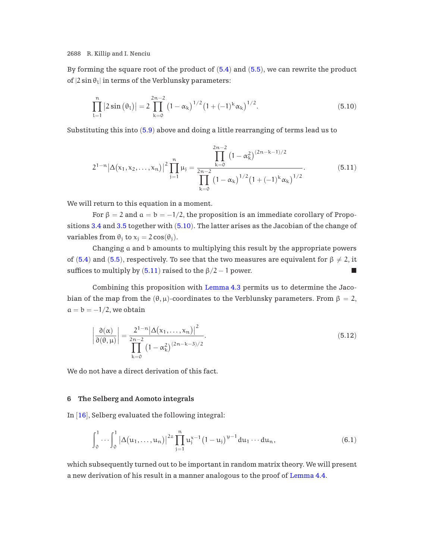<span id="page-23-0"></span>By forming the square root of the product of  $(5.4)$  $(5.4)$  $(5.4)$  and  $(5.5)$  $(5.5)$  $(5.5)$ , we can rewrite the product of  $|2 \sin \theta_1|$  in terms of the Verblunsky parameters:

$$
\prod_{l=1}^{n} |2\sin(\theta_l)| = 2\prod_{k=0}^{2n-2} (1-\alpha_k)^{1/2} (1+(-1)^k \alpha_k)^{1/2}.
$$
 (5.10)

Substituting this into ([5.9](#page-22-0)) above and doing a little rearranging of terms lead us to

$$
2^{1-n} |\Delta(x_1, x_2, \dots, x_n)|^2 \prod_{j=1}^n \mu_j = \frac{\prod_{k=0}^{2n-2} (1 - \alpha_k^2)^{(2n-k-1)/2}}{\prod_{k=0}^{2n-2} (1 - \alpha_k)^{1/2} (1 + (-1)^k \alpha_k)^{1/2}}.
$$
(5.11)

We will return to this equation in a moment.

For  $\beta = 2$  and  $\alpha = b = -1/2$ , the proposition is an immediate corollary of Propositions [3.4](#page-14-0) and [3.5](#page-14-0) together with (5.10). The latter arises as the Jacobian of the change of variables from  $\theta_i$  to  $x_i = 2 \cos(\theta_i)$ .

Changing a and b amounts to multiplying this result by the appropriate powers of ([5.4](#page-21-0)) and ([5.5](#page-21-0)), respectively. To see that the two measures are equivalent for  $\beta \neq 2$ , it suffices to multiply by  $(5.11)$  raised to the  $\beta/2 - 1$  power.

Combining this proposition with [Lemma 4.3](#page-18-0) permits us to determine the Jacobian of the map from the  $(\theta, \mu)$ -coordinates to the Verblunsky parameters. From  $\beta = 2$ ,  $a = b = -1/2$ , we obtain

$$
\left|\frac{\partial(\alpha)}{\partial(\theta,\mu)}\right| = \frac{2^{1-n}\left|\Delta(x_1,\ldots,x_n)\right|^2}{\prod_{k=0}^{2n-2} \left(1-\alpha_k^2\right)^{(2n-k-3)/2}}.
$$
\n(5.12)

We do not have a direct derivation of this fact.

#### **6 The Selberg and Aomoto integrals**

In [[16](#page-36-0)], Selberg evaluated the following integral:

$$
\int_0^1 \cdots \int_0^1 |\Delta(u_1,\ldots,u_n)|^{2z} \prod_{j=1}^n u_j^{x-1} (1-u_j)^{y-1} du_1 \cdots du_n, \qquad (6.1)
$$

which subsequently turned out to be important in random matrix theory. We will present a new derivation of his result in a manner analogous to the proof of [Lemma 4.4.](#page-19-0)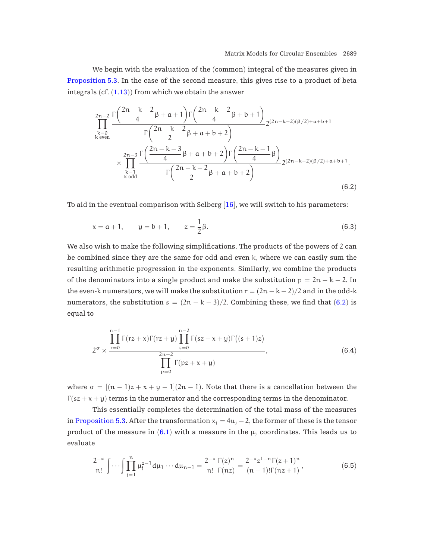<span id="page-24-0"></span>We begin with the evaluation of the (common) integral of the measures given in [Proposition 5.3.](#page-22-0) In the case of the second measure, this gives rise to a product of beta integrals  $(cf. (1.13))$  $(cf. (1.13))$  $(cf. (1.13))$  from which we obtain the answer

$$
\prod_{\substack{k=0 \ k \text{ even}}}^{2n-2} \frac{\Gamma\left(\frac{2n-k-2}{4}\beta+a+1\right) \Gamma\left(\frac{2n-k-2}{4}\beta+b+1\right)}{\Gamma\left(\frac{2n-k-2}{2}\beta+a+b+2\right)} 2^{(2n-k-2)(\beta/2)+a+b+1} \times \prod_{\substack{k=1 \ k \text{ odd}}}^{2n-3} \frac{\Gamma\left(\frac{2n-k-3}{4}\beta+a+b+2\right) \Gamma\left(\frac{2n-k-1}{4}\beta\right)}{\Gamma\left(\frac{2n-k-2}{2}\beta+a+b+2\right)} 2^{(2n-k-2)(\beta/2)+a+b+1}.
$$
\n(6.2)

To aid in the eventual comparison with Selberg  $[16]$  $[16]$  $[16]$ , we will switch to his parameters:

$$
x = a + 1
$$
,  $y = b + 1$ ,  $z = \frac{1}{2}\beta$ . (6.3)

We also wish to make the following simplifications. The products of the powers of 2 can be combined since they are the same for odd and even k, where we can easily sum the resulting arithmetic progression in the exponents. Similarly, we combine the products of the denominators into a single product and make the substitution  $p = 2n - k - 2$ . In the even-k numerators, we will make the substitution  $r = (2n - k - 2)/2$  and in the odd-k numerators, the substitution  $s = (2n - k - 3)/2$ . Combining these, we find that (6.2) is equal to

$$
2^{\sigma} \times \frac{\prod_{r=0}^{n-1} \Gamma(rz+x)\Gamma(rz+y) \prod_{s=0}^{n-2} \Gamma(sz+x+y)\Gamma((s+1)z)}{\prod_{p=0}^{2n-2} \Gamma(pz+x+y)}, \qquad (6.4)
$$

where  $\sigma = [(\pi - 1)z + x + y - 1](2\pi - 1)$ . Note that there is a cancellation between the  $\Gamma(sz + x + y)$  terms in the numerator and the corresponding terms in the denominator.

This essentially completes the determination of the total mass of the measures in [Proposition 5.3.](#page-22-0) After the transformation  $x_i = 4u_i - 2$ , the former of these is the tensor product of the measure in  $(6.1)$  $(6.1)$  $(6.1)$  with a measure in the  $\mu_i$  coordinates. This leads us to evaluate

$$
\frac{2^{-\kappa}}{n!} \int \cdots \int \prod_{j=1}^{n} \mu_j^{z-1} d\mu_1 \cdots d\mu_{n-1} = \frac{2^{-\kappa}}{n!} \frac{\Gamma(z)^n}{\Gamma(nz)} = \frac{2^{-\kappa} z^{1-n} \Gamma(z+1)^n}{(n-1)! \Gamma(nz+1)},
$$
(6.5)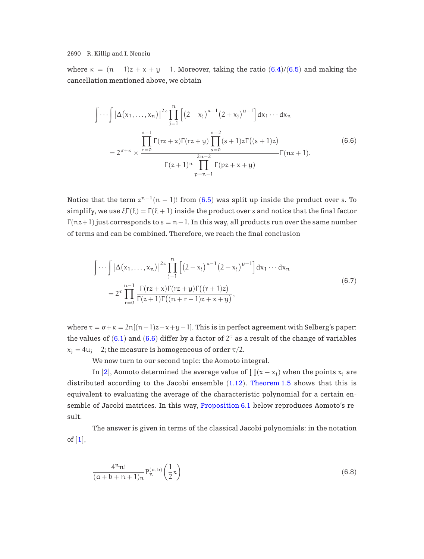where  $\kappa = (n - 1)z + x + y - 1$ . Moreover, taking the ratio ([6.4](#page-24-0))/([6.5](#page-24-0)) and making the cancellation mentioned above, we obtain

$$
\int \cdots \int |\Delta(x_1, ..., x_n)|^{2z} \prod_{j=1}^n \left[ (2 - x_j)^{x-1} (2 + x_j)^{y-1} \right] dx_1 \cdots dx_n
$$
  
=  $2^{\sigma + \kappa} \times \frac{\prod_{r=0}^{n-1} \Gamma(rz + x) \Gamma(rz + y) \prod_{s=0}^{n-2} (s + 1) z \Gamma((s + 1)z)}{\prod_{r=0}^{2n-2} \Gamma(nz + 1)}$   
 $\Gamma(z + 1)^n \prod_{p=n-1}^{2n-2} \Gamma(pz + x + y)$  (6.6)

Notice that the term  $z^{n-1}(n-1)!$  from ([6.5](#page-24-0)) was split up inside the product over s. To simplify, we use  $\xi \Gamma(\xi) = \Gamma(\xi + 1)$  inside the product over s and notice that the final factor  $\Gamma(nz+1)$  just corresponds to  $s = n-1$ . In this way, all products run over the same number of terms and can be combined. Therefore, we reach the final conclusion

$$
\int \cdots \int |\Delta(x_1, ..., x_n)|^{2z} \prod_{j=1}^n \left[ (2 - x_j)^{x-1} (2 + x_j)^{y-1} \right] dx_1 \cdots dx_n
$$
  
=  $2^{\tau} \prod_{r=0}^{n-1} \frac{\Gamma(rz + x) \Gamma(rz + y) \Gamma((r+1)z)}{\Gamma(z+1) \Gamma((n+r-1)z + x + y)},$  (6.7)

where  $\tau = \sigma + \kappa = 2n[(n-1)z + x + y - 1]$ . This is in perfect agreement with Selberg's paper: the values of ([6.1](#page-23-0)) and (6.6) differ by a factor of  $2^{\tau}$  as a result of the change of variables  $x_i = 4u_i - 2$ ; the measure is homogeneous of order  $\tau/2$ .

We now turn to our second topic: the Aomoto integral.

In [[2](#page-35-0)], Aomoto determined the average value of  $\prod(x - x_i)$  when the points  $x_i$  are distributed according to the Jacobi ensemble ([1.12](#page-4-0)). [Theorem 1.5](#page-4-0) shows that this is equivalent to evaluating the average of the characteristic polynomial for a certain ensemble of Jacobi matrices. In this way, [Proposition 6.1](#page-26-0) below reproduces Aomoto's result.

The answer is given in terms of the classical Jacobi polynomials: in the notation of  $[1]$  $[1]$  $[1]$ ,

$$
\frac{4^n n!}{(a+b+n+1)_n} P_n^{(a,b)}\left(\frac{1}{2}x\right) \tag{6.8}
$$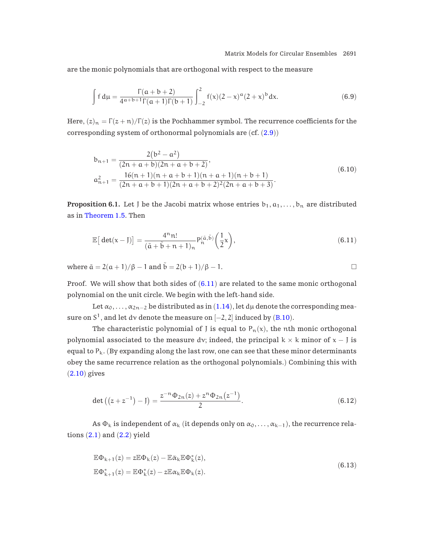<span id="page-26-0"></span>are the monic polynomials that are orthogonal with respect to the measure

$$
\int f d\mu = \frac{\Gamma(a+b+2)}{4^{a+b+1}\Gamma(a+1)\Gamma(b+1)} \int_{-2}^{2} f(x)(2-x)^{a}(2+x)^{b} dx.
$$
 (6.9)

Here,  $(z)_n = \Gamma(z + n)/\Gamma(z)$  is the Pochhammer symbol. The recurrence coefficients for the corresponding system of orthonormal polynomials are  $(cf. (2.9))$  $(cf. (2.9))$  $(cf. (2.9))$ 

$$
b_{n+1} = \frac{2(b^2 - a^2)}{(2n + a + b)(2n + a + b + 2)},
$$
  
\n
$$
a_{n+1}^2 = \frac{16(n+1)(n+a+b+1)(n+a+1)(n+b+1)}{(2n + a + b + 1)(2n + a + b + 2)^2(2n + a + b + 3)}.
$$
\n(6.10)

**Proposition 6.1.** Let J be the Jacobi matrix whose entries  $b_1, a_1, \ldots, b_n$  are distributed as in [Theorem 1.5.](#page-4-0) Then

$$
\mathbb{E}\big[\det(x-J)\big] = \frac{4^n n!}{(\tilde{a} + \tilde{b} + n + 1)_n} P_n^{(\tilde{a},\tilde{b})} \bigg(\frac{1}{2}x\bigg),\tag{6.11}
$$

where  $\tilde{a} = 2(a+1)/\beta - 1$  and  $\tilde{b} = 2(b+1)/\beta - 1$ .

Proof. We will show that both sides of  $(6.11)$  are related to the same monic orthogonal polynomial on the unit circle. We begin with the left-hand side.

Let  $\alpha_0, \ldots, \alpha_{2n-2}$  be distributed as in ([1.14](#page-4-0)), let dµ denote the corresponding measure on  $S^1$ , and let dv denote the measure on  $[-2, 2]$  induced by ([B.10](#page-32-0)).

The characteristic polynomial of J is equal to  $P_n(x)$ , the nth monic orthogonal polynomial associated to the measure dv; indeed, the principal  $k \times k$  minor of  $x - J$  is equal to  $P_k$ . (By expanding along the last row, one can see that these minor determinants obey the same recurrence relation as the orthogonal polynomials.) Combining this with ([2.10](#page-9-0)) gives

$$
\det ((z + z^{-1}) - J) = \frac{z^{-n} \Phi_{2n}(z) + z^{n} \Phi_{2n}(z^{-1})}{2}.
$$
\n(6.12)

As  $\Phi_k$  is independent of  $\alpha_k$  (it depends only on  $\alpha_0, \ldots, \alpha_{k-1}$ ), the recurrence relations  $(2.1)$  $(2.1)$  $(2.1)$  and  $(2.2)$  $(2.2)$  $(2.2)$  yield

$$
\mathbb{E}\Phi_{k+1}(z) = z\mathbb{E}\Phi_k(z) - \mathbb{E}\bar{\alpha}_k \mathbb{E}\Phi_k^*(z),
$$
  

$$
\mathbb{E}\Phi_{k+1}^*(z) = \mathbb{E}\Phi_k^*(z) - z\mathbb{E}\alpha_k \mathbb{E}\Phi_k(z).
$$
 (6.13)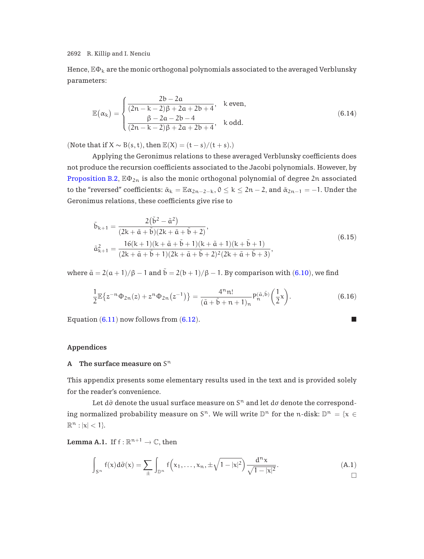<span id="page-27-0"></span>Hence,  $\mathbb{E}\Phi_k$  are the monic orthogonal polynomials associated to the averaged Verblunsky parameters:

$$
\mathbb{E}(\alpha_k) = \begin{cases}\n\frac{2b - 2a}{(2n - k - 2)\beta + 2a + 2b + 4}, & k \text{ even,} \\
\frac{\beta - 2a - 2b - 4}{(2n - k - 2)\beta + 2a + 2b + 4}, & k \text{ odd.} \n\end{cases}
$$
\n(6.14)

(Note that if  $X \sim B(s, t)$ , then  $\mathbb{E}(X) = (t - s)/(t + s)$ .)

Applying the Geronimus relations to these averaged Verblunsky coefficients does not produce the recursion coefficients associated to the Jacobi polynomials. However, by [Proposition B.2](#page-31-0),  $\mathbb{E} \Phi_{2n}$  is also the monic orthogonal polynomial of degree 2n associated to the "reversed" coefficients:  $\tilde{\alpha}_k = \mathbb{E} \alpha_{2n-2-k}$ ,  $0 \le k \le 2n-2$ , and  $\tilde{\alpha}_{2n-1} = -1$ . Under the Geronimus relations, these coefficients give rise to

$$
\tilde{b}_{k+1} = \frac{2(\tilde{b}^2 - \tilde{a}^2)}{(2k + \tilde{a} + \tilde{b})(2k + \tilde{a} + \tilde{b} + 2)},
$$
\n
$$
\tilde{a}_{k+1}^2 = \frac{16(k+1)(k + \tilde{a} + \tilde{b} + 1)(k + \tilde{a} + 1)(k + \tilde{b} + 1)}{(2k + \tilde{a} + \tilde{b} + 1)(2k + \tilde{a} + \tilde{b} + 2)^2(2k + \tilde{a} + \tilde{b} + 3)},
$$
\n(6.15)

where  $\tilde{a} = 2(a+1)/\beta - 1$  and  $\tilde{b} = 2(b+1)/\beta - 1$ . By comparison with ([6.10](#page-26-0)), we find

$$
\frac{1}{2} \mathbb{E} \{ z^{-n} \Phi_{2n}(z) + z^n \Phi_{2n}(z^{-1}) \} = \frac{4^n n!}{(\tilde{a} + \tilde{b} + n + 1)_n} P_n^{(\tilde{a}, \tilde{b})} \left( \frac{1}{2} x \right).
$$
 (6.16)

Equation  $(6.11)$  $(6.11)$  $(6.11)$  now follows from  $(6.12)$  $(6.12)$  $(6.12)$ .

# **Appendices**

## **A** The surface measure on  $S<sup>n</sup>$

This appendix presents some elementary results used in the text and is provided solely for the reader's convenience.

Let d $\tilde{\sigma}$  denote the usual surface measure on  $S<sup>n</sup>$  and let d $\sigma$  denote the corresponding normalized probability measure on  $S^n$ . We will write  $\mathbb{D}^n$  for the n-disk:  $\mathbb{D}^n = \{x \in$  $\mathbb{R}^n : |x| < 1$ .

**Lemma A.1.** If  $f : \mathbb{R}^{n+1} \to \mathbb{C}$ , then

$$
\int_{S^n} f(x) d\tilde{\sigma}(x) = \sum_{\pm} \int_{\mathbb{D}^n} f\Big(x_1,\ldots,x_n,\pm \sqrt{1-|x|^2}\Big) \frac{d^n x}{\sqrt{1-|x|^2}}. \tag{A.1}
$$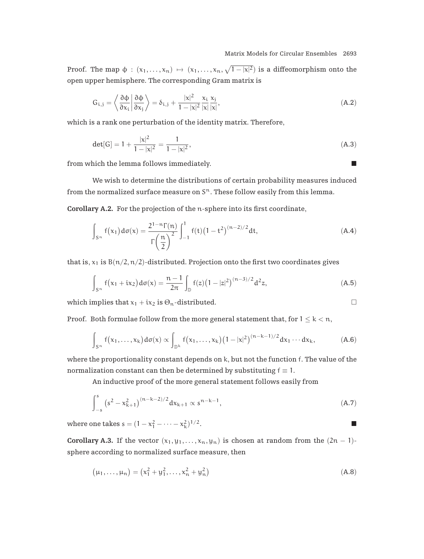<span id="page-28-0"></span>Proof. The map  $\phi : (x_1, \ldots, x_n) \mapsto (x_1, \ldots, x_n, \sqrt{1-|x|^2})$  is a diffeomorphism onto the open upper hemisphere. The corresponding Gram matrix is

$$
G_{i,j} = \left\langle \frac{\partial \phi}{\partial x_i} \middle| \frac{\partial \phi}{\partial x_j} \right\rangle = \delta_{i,j} + \frac{|x|^2}{1 - |x|^2} \frac{x_i}{|x|} \frac{x_j}{|x|},\tag{A.2}
$$

which is a rank one perturbation of the identity matrix. Therefore,

$$
\det[G] = 1 + \frac{|x|^2}{1 - |x|^2} = \frac{1}{1 - |x|^2},\tag{A.3}
$$

from which the lemma follows immediately.

We wish to determine the distributions of certain probability measures induced from the normalized surface measure on  $S<sup>n</sup>$ . These follow easily from this lemma.

**Corollary A.2.** For the projection of the n-sphere into its first coordinate,

$$
\int_{S^n} f(x_1) d\sigma(x) = \frac{2^{1-n} \Gamma(n)}{\Gamma(\frac{n}{2})} \int_{-1}^1 f(t) (1-t^2)^{(n-2)/2} dt,
$$
\n(A.4)

that is,  $x_1$  is  $B(n/2, n/2)$ -distributed. Projection onto the first two coordinates gives

$$
\int_{S^n} f(x_1 + ix_2) d\sigma(x) = \frac{n-1}{2\pi} \int_{\mathbb{D}} f(z) (1 - |z|^2)^{(n-3)/2} d^2 z,
$$
 (A.5)

which implies that  $x_1 + ix_2$  is  $\Theta_n$ -distributed.

Proof. Both formulae follow from the more general statement that, for  $1 \leq k < n$ ,

$$
\int_{S^n} f\big(x_1,\ldots,x_k\big)d\sigma(x) \propto \int_{\mathbb{D}^k} f\big(x_1,\ldots,x_k\big)\big(1-|x|^2\big)^{(n-k-1)/2}dx_1\cdots dx_k,\tag{A.6}
$$

where the proportionality constant depends on k, but not the function f. The value of the normalization constant can then be determined by substituting  $f \equiv 1$ .

An inductive proof of the more general statement follows easily from

$$
\int_{-s}^{s} \left(s^2 - x_{k+1}^2\right)^{(n-k-2)/2} dx_{k+1} \propto s^{n-k-1},\tag{A.7}
$$

where one takes  $s = (1 - x_1^2 - \cdots - x_k^2)$  $\binom{2}{k}$ <sup>1/2</sup>.

**Corollary A.3.** If the vector  $(x_1, y_1, \ldots, x_n, y_n)$  is chosen at random from the  $(2n - 1)$ sphere according to normalized surface measure, then

$$
(\mu_1, \dots, \mu_n) = (x_1^2 + y_1^2, \dots, x_n^2 + y_n^2)
$$
 (A.8)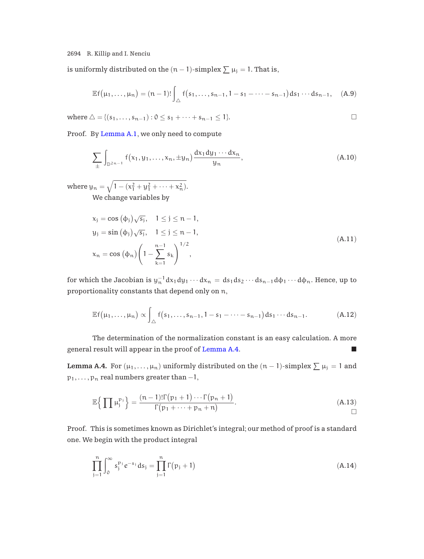<span id="page-29-0"></span>is uniformly distributed on the  $(n-1)$ -simplex  $\sum \mu_j = 1$ . That is,

$$
\mathbb{E} f\big(\mu_1,\ldots,\mu_n\big)=(n-1)!\int_{\triangle}f\big(s_1,\ldots,s_{n-1},1-s_1-\cdots-s_{n-1}\big)ds_1\cdots ds_{n-1},\quad \ (A.9)
$$

where  $\triangle = \{ (s_1, \ldots, s_{n-1}) : 0 \le s_1 + \cdots + s_{n-1} \le 1 \}.$ 

Proof. By [Lemma A.1](#page-27-0), we only need to compute

$$
\sum_{\pm} \int_{\mathbb{D}^{2n-1}} f(x_1, y_1, \dots, x_n, \pm y_n) \frac{dx_1 dy_1 \cdots dx_n}{y_n}, \tag{A.10}
$$

where  $y_n = \sqrt{1 - (x_1^2 + y_1^2 + \dots + x_n^2)}$ . We change variables by

$$
x_{j} = \cos (\phi_{j}) \sqrt{s_{j}}, \quad 1 \leq j \leq n - 1,y_{j} = \sin (\phi_{j}) \sqrt{s_{j}}, \quad 1 \leq j \leq n - 1,x_{n} = \cos (\phi_{n}) \left( 1 - \sum_{k=1}^{n-1} s_{k} \right)^{1/2},
$$
\n(A.11)

for which the Jacobian is  $y_n^{-1}dx_1dy_1\cdots dx_n = ds_1ds_2\cdots ds_{n-1}d\phi_1\cdots d\phi_n$ . Hence, up to proportionality constants that depend only on n,

$$
\mathbb{E} f\big(\mu_1,\ldots,\mu_n\big) \propto \int_{\triangle} f\big(s_1,\ldots,s_{n-1},1-s_1-\cdots-s_{n-1}\big) ds_1\cdots ds_{n-1}.\tag{A.12}
$$

The determination of the normalization constant is an easy calculation. A more general result will appear in the proof of Lemma A.4.

**Lemma A.4.** For  $(\mu_1, \ldots, \mu_n)$  uniformly distributed on the  $(n-1)$ -simplex  $\sum \mu_j = 1$  and  $p_1, \ldots, p_n$  real numbers greater than  $-1$ ,

$$
\mathbb{E}\Big\{\prod \mu_j^{p_j}\Big\} = \frac{(n-1)!\Gamma(p_1+1)\cdots\Gamma(p_n+1)}{\Gamma(p_1+\cdots+p_n+n)}.
$$
\n(A.13)

Proof. This is sometimes known as Dirichlet's integral; our method of proof is a standard one. We begin with the product integral

$$
\prod_{j=1}^{n} \int_{0}^{\infty} s_{j}^{p_{j}} e^{-s_{j}} ds_{j} = \prod_{j=1}^{n} \Gamma(p_{j} + 1)
$$
\n(A.14)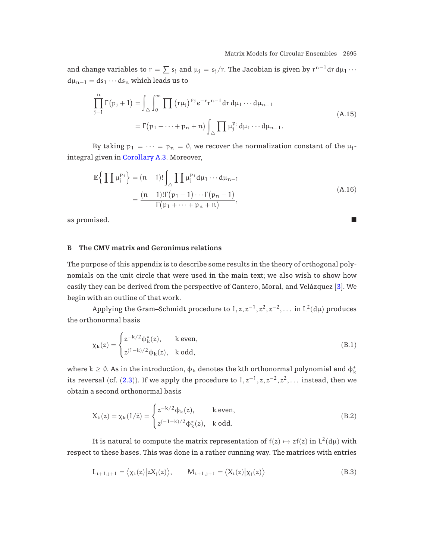<span id="page-30-0"></span>and change variables to  $r = \sum s_j$  and  $\mu_j = s_j/r$ . The Jacobian is given by  $r^{n-1}dr d\mu_1 \cdots$  $d\mu_{n-1} = ds_1 \cdots ds_n$  which leads us to

$$
\prod_{j=1}^{n} \Gamma(p_j + 1) = \int_{\triangle} \int_0^{\infty} \prod_{j=1} (r\mu_j)^{p_j} e^{-r} r^{n-1} dr d\mu_1 \cdots d\mu_{n-1}
$$
\n
$$
= \Gamma(p_1 + \cdots + p_n + n) \int_{\triangle} \prod_{j=1}^{n} \mu_j^{p_j} d\mu_1 \cdots d\mu_{n-1}.
$$
\n(A.15)

By taking  $p_1 = \cdots = p_n = 0$ , we recover the normalization constant of the  $\mu_j$ integral given in [Corollary A.3.](#page-28-0) Moreover,

$$
\mathbb{E}\left\{\prod \mu_j^{p_j}\right\} = (n-1)! \int_{\triangle} \prod \mu_j^{p_j} d\mu_1 \cdots d\mu_{n-1}
$$
\n
$$
= \frac{(n-1)! \Gamma(p_1+1) \cdots \Gamma(p_n+1)}{\Gamma(p_1 + \cdots + p_n + n)},
$$
\n(A.16)

as promised. -

# **B The CMV matrix and Geronimus relations**

The purpose of this appendix is to describe some results in the theory of orthogonal polynomials on the unit circle that were used in the main text; we also wish to show how easily they can be derived from the perspective of Cantero, Moral, and Velázquez  $[3]$  $[3]$  $[3]$ . We begin with an outline of that work.

Applying the Gram–Schmidt procedure to  $1, z, z^{-1}, z^2, z^{-2},...$  in L<sup>2</sup>(d<sub>µ</sub>) produces the orthonormal basis

$$
\chi_{k}(z) = \begin{cases} z^{-k/2} \Phi_{k}^{*}(z), & k \text{ even,} \\ z^{(1-k)/2} \Phi_{k}(z), & k \text{ odd,} \end{cases}
$$
(B.1)

where k  $\geq$  0. As in the introduction,  $\phi_k$  denotes the kth orthonormal polynomial and  $\phi_k^*$ its reversal (cf. ([2.3](#page-6-0))). If we apply the procedure to  $1, z^{-1}, z, z^{-2}, z^2, \ldots$  instead, then we obtain a second orthonormal basis

$$
X_k(z)=\overline{\chi_k(1/\bar{z})}=\begin{cases}z^{-k/2}\varphi_k(z),\quad &\text{ k even,}\\ z^{(-1-k)/2}\varphi_k^*(z),\quad k\text{ odd.}\end{cases}\tag{B.2}
$$

It is natural to compute the matrix representation of  $f(z) \mapsto z f(z)$  in  $L^2(d\mu)$  with respect to these bases. This was done in a rather cunning way. The matrices with entries

$$
L_{i+1,j+1} = \langle \chi_i(z) | zX_j(z) \rangle, \qquad M_{i+1,j+1} = \langle X_i(z) | \chi_j(z) \rangle \tag{B.3}
$$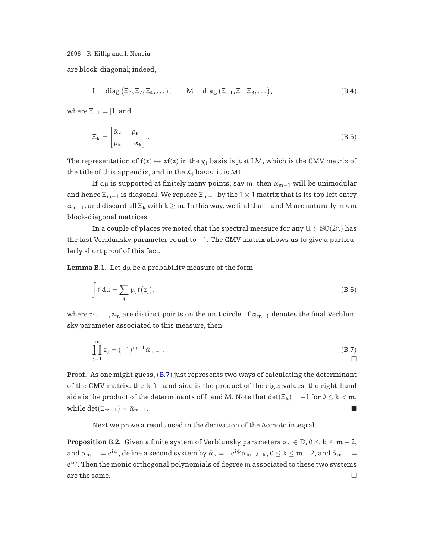<span id="page-31-0"></span>are block-diagonal; indeed,

$$
L = diag(\Xi_0, \Xi_2, \Xi_4, \dots), \qquad M = diag(\Xi_{-1}, \Xi_1, \Xi_3, \dots), \qquad (B.4)
$$

where  $\Xi_{-1} = [1]$  and

$$
\Xi_{k} = \begin{bmatrix} \bar{\alpha}_{k} & \rho_{k} \\ \rho_{k} & -\alpha_{k} \end{bmatrix} .
$$
 (B.5)

The representation of  $f(z) \mapsto z f(z)$  in the  $\chi_i$  basis is just LM, which is the CMV matrix of the title of this appendix, and in the  $X_i$  basis, it is ML.

If dµ is supported at finitely many points, say m, then  $\alpha_{m-1}$  will be unimodular and hence  $\Xi_{m-1}$  is diagonal. We replace  $\Xi_{m-1}$  by the 1 × 1 matrix that is its top left entry  $\bar{\alpha}_{m-1}$ , and discard all  $\Xi_k$  with  $k \geq m$ . In this way, we find that L and M are naturally  $m \times m$ block-diagonal matrices.

In a couple of places we noted that the spectral measure for any  $U \in \mathbb{SO}(2n)$  has the last Verblunsky parameter equal to −1. The CMV matrix allows us to give a particularly short proof of this fact.

**Lemma B.1.** Let  $d\mu$  be a probability measure of the form

$$
\int f d\mu = \sum_{j} \mu_{j} f(z_{j}), \qquad (B.6)
$$

where  $z_1,...,z_m$  are distinct points on the unit circle. If  $\alpha_{m-1}$  denotes the final Verblunsky parameter associated to this measure, then

$$
\prod_{j=1}^{m} z_j = (-1)^{m-1} \bar{\alpha}_{m-1}.
$$
\n(B.7)

Proof. As one might guess,  $(B.7)$  just represents two ways of calculating the determinant of the CMV matrix: the left-hand side is the product of the eigenvalues; the right-hand side is the product of the determinants of L and M. Note that  $\det(\Xi_k) = -1$  for  $0 \le k < m$ , while det( $\Xi_{m-1}$ ) =  $\bar{\alpha}_{m-1}$ .

Next we prove a result used in the derivation of the Aomoto integral.

**Proposition B.2.** Given a finite system of Verblunsky parameters  $\alpha_k \in \mathbb{D}$ ,  $0 \le k \le m-2$ , and  $\alpha_{m-1} = e^{i\phi}$ , define a second system by  $\tilde{\alpha}_k = -e^{i\phi}\bar{\alpha}_{m-2-k}$ ,  $0 \le k \le m-2$ , and  $\tilde{\alpha}_{m-1} =$  $e^{i\phi}$ . Then the monic orthogonal polynomials of degree m associated to these two systems are the same.  $\Box$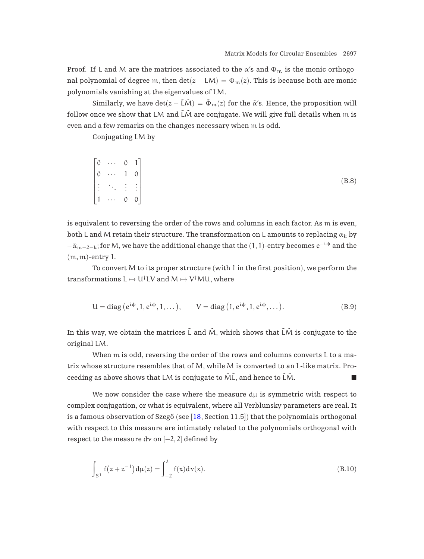<span id="page-32-0"></span>Proof. If L and M are the matrices associated to the  $\alpha$ 's and  $\Phi_m$  is the monic orthogonal polynomial of degree m, then  $\det(z - LM) = \Phi_m(z)$ . This is because both are monic polynomials vanishing at the eigenvalues of LM.

Similarly, we have  $det(z - \tilde{L}\tilde{M}) = \tilde{\Phi}_m(z)$  for the  $\tilde{\alpha}'s$ . Hence, the proposition will follow once we show that LM and  $\tilde{L}\tilde{M}$  are conjugate. We will give full details when m is even and a few remarks on the changes necessary when m is odd.

Conjugating LM by

|  | $\begin{bmatrix} 0 & \cdots & 0 & 1 \\ 0 & \cdots & 1 & 0 \\ \vdots & \ddots & \vdots & \vdots \\ 1 & \cdots & 0 & 0 \end{bmatrix}$ |  |
|--|-------------------------------------------------------------------------------------------------------------------------------------|--|
|  |                                                                                                                                     |  |

is equivalent to reversing the order of the rows and columns in each factor. As m is even, both L and M retain their structure. The transformation on L amounts to replacing  $\alpha_k$  by  $-\bar{\alpha}_{m-2-k}$ ; for M, we have the additional change that the (1, 1)-entry becomes  $e^{-i\phi}$  and the (m, m)-entry 1.

To convert M to its proper structure (with 1 in the first position), we perform the transformations  $L \mapsto U^{\dagger}LV$  and  $M \mapsto V^{\dagger}MU$ , where

$$
U = diag(e^{i\phi}, 1, e^{i\phi}, 1, \dots), \qquad V = diag(1, e^{i\phi}, 1, e^{i\phi}, \dots).
$$
 (B.9)

In this way, we obtain the matrices  $\tilde{L}$  and  $\tilde{M}$ , which shows that  $\tilde{L}\tilde{M}$  is conjugate to the original LM.

When m is odd, reversing the order of the rows and columns converts L to a matrix whose structure resembles that of M, while M is converted to an L-like matrix. Proceeding as above shows that LM is conjugate to  $\tilde{M}$ , and hence to  $\tilde{L}\tilde{M}$ .

We now consider the case where the measure  $d\mu$  is symmetric with respect to complex conjugation, or what is equivalent, where all Verblunsky parameters are real. It is a famous observation of Szegő (see  $[18, Section 11.5]$  $[18, Section 11.5]$  $[18, Section 11.5]$ ) that the polynomials orthogonal with respect to this measure are intimately related to the polynomials orthogonal with respect to the measure dv on  $[-2, 2]$  defined by

$$
\int_{S^1} f(z + z^{-1}) d\mu(z) = \int_{-2}^2 f(x) d\nu(x).
$$
 (B.10)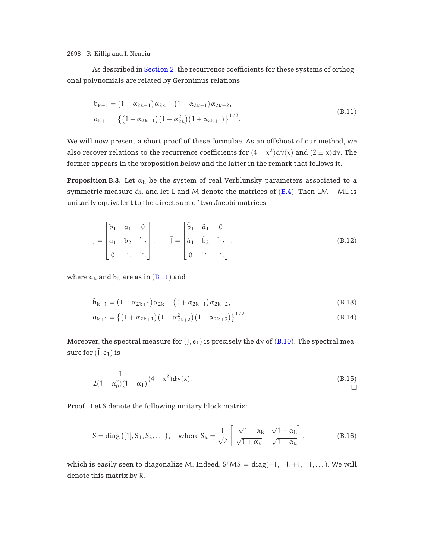As described in [Section 2](#page-5-0), the recurrence coefficients for these systems of orthogonal polynomials are related by Geronimus relations

$$
b_{k+1} = (1 - \alpha_{2k-1})\alpha_{2k} - (1 + \alpha_{2k-1})\alpha_{2k-2},
$$
  
\n
$$
a_{k+1} = \{(1 - \alpha_{2k-1})(1 - \alpha_{2k}^2)(1 + \alpha_{2k+1})\}^{1/2}.
$$
\n(B.11)

We will now present a short proof of these formulae. As an offshoot of our method, we also recover relations to the recurrence coefficients for  $(4 - x^2)d\nu(x)$  and  $(2 \pm x)d\nu$ . The former appears in the proposition below and the latter in the remark that follows it.

**Proposition B.3.** Let  $\alpha_k$  be the system of real Verblunsky parameters associated to a symmetric measure  $d\mu$  and let L and M denote the matrices of ([B.4](#page-31-0)). Then LM + ML is unitarily equivalent to the direct sum of two Jacobi matrices

$$
J = \begin{bmatrix} b_1 & a_1 & 0 \\ a_1 & b_2 & \cdots \\ 0 & \cdots & \cdots \end{bmatrix}, \qquad \tilde{J} = \begin{bmatrix} \tilde{b}_1 & \tilde{a}_1 & 0 \\ \tilde{a}_1 & \tilde{b}_2 & \cdots \\ 0 & \cdots & \cdots \end{bmatrix}, \qquad (B.12)
$$

where  $a_k$  and  $b_k$  are as in (B.11) and

$$
\tilde{b}_{k+1} = (1 - \alpha_{2k+1})\alpha_{2k} - (1 + \alpha_{2k+1})\alpha_{2k+2},
$$
\n(B.13)

$$
\tilde{\alpha}_{k+1} = \left\{ \left(1 + \alpha_{2k+1}\right) \left(1 - \alpha_{2k+2}^2\right) \left(1 - \alpha_{2k+3}\right) \right\}^{1/2}.
$$
\n(B.14)

Moreover, the spectral measure for  $(J, e_1)$  is precisely the dv of  $(B.10)$  $(B.10)$  $(B.10)$ . The spectral measure for  $(\tilde{J}, e_1)$  is

$$
\frac{1}{2(1 - \alpha_0^2)(1 - \alpha_1)}(4 - x^2) \, \text{d}v(x). \tag{B.15}
$$

Proof. Let S denote the following unitary block matrix:

$$
S = diag ([1], S_1, S_3, \dots), \quad \text{where } S_k = \frac{1}{\sqrt{2}} \begin{bmatrix} -\sqrt{1 - \alpha_k} & \sqrt{1 + \alpha_k} \\ \sqrt{1 + \alpha_k} & \sqrt{1 - \alpha_k} \end{bmatrix}, \tag{B.16}
$$

which is easily seen to diagonalize M. Indeed,  $S^{\dagger}MS = \text{diag}(+1, -1, +1, -1, \dots)$ . We will denote this matrix by R.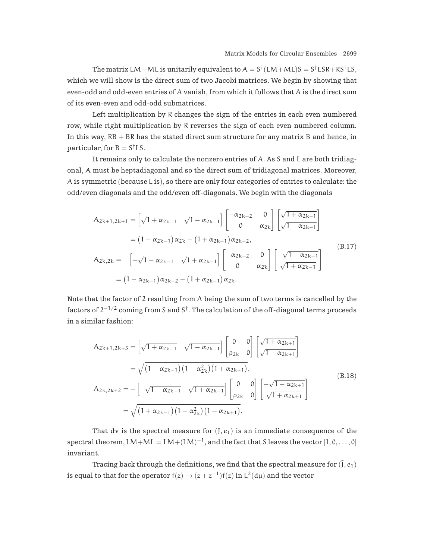The matrix LM+ML is unitarily equivalent to  $A = S^{\dagger}(LM+ML)S = S^{\dagger}LSR + RS^{\dagger}LS$ , which we will show is the direct sum of two Jacobi matrices. We begin by showing that even-odd and odd-even entries of A vanish, from which it follows that A is the direct sum of its even-even and odd-odd submatrices.

Left multiplication by R changes the sign of the entries in each even-numbered row, while right multiplication by R reverses the sign of each even-numbered column. In this way,  $RB + BR$  has the stated direct sum structure for any matrix B and hence, in particular, for  $B = S^{\dagger}LS$ .

It remains only to calculate the nonzero entries of A. As S and L are both tridiagonal, A must be heptadiagonal and so the direct sum of tridiagonal matrices. Moreover, A is symmetric (because L is), so there are only four categories of entries to calculate: the odd/even diagonals and the odd/even off-diagonals. We begin with the diagonals

$$
A_{2k+1,2k+1} = \begin{bmatrix} \sqrt{1 + \alpha_{2k-1}} & \sqrt{1 - \alpha_{2k-1}} \end{bmatrix} \begin{bmatrix} -\alpha_{2k-2} & 0 \\ 0 & \alpha_{2k} \end{bmatrix} \begin{bmatrix} \sqrt{1 + \alpha_{2k-1}} \\ \sqrt{1 - \alpha_{2k-1}} \end{bmatrix}
$$
  
=  $(1 - \alpha_{2k-1}) \alpha_{2k} - (1 + \alpha_{2k-1}) \alpha_{2k-2},$   

$$
A_{2k,2k} = -\begin{bmatrix} -\sqrt{1 - \alpha_{2k-1}} & \sqrt{1 + \alpha_{2k-1}} \end{bmatrix} \begin{bmatrix} -\alpha_{2k-2} & 0 \\ 0 & \alpha_{2k} \end{bmatrix} \begin{bmatrix} -\sqrt{1 - \alpha_{2k-1}} \\ \sqrt{1 + \alpha_{2k-1}} \end{bmatrix}
$$
  
=  $(1 - \alpha_{2k-1}) \alpha_{2k-2} - (1 + \alpha_{2k-1}) \alpha_{2k}.$  (B.17)

Note that the factor of 2 resulting from A being the sum of two terms is cancelled by the factors of  $2^{-1/2}$  coming from S and S<sup>†</sup>. The calculation of the off-diagonal terms proceeds in a similar fashion:

$$
A_{2k+1,2k+3} = \left[\sqrt{1 + \alpha_{2k-1}} \quad \sqrt{1 - \alpha_{2k-1}}\right] \begin{bmatrix} 0 & 0 \ \rho_{2k} & 0 \end{bmatrix} \begin{bmatrix} \sqrt{1 + \alpha_{2k+1}} \\ \sqrt{1 - \alpha_{2k+1}} \end{bmatrix}
$$
  
\n
$$
= \sqrt{(1 - \alpha_{2k-1})(1 - \alpha_{2k}^2)(1 + \alpha_{2k+1})},
$$
  
\n
$$
A_{2k,2k+2} = -\left[-\sqrt{1 - \alpha_{2k-1}} \quad \sqrt{1 + \alpha_{2k-1}}\right] \begin{bmatrix} 0 & 0 \ \rho_{2k} & 0 \end{bmatrix} \begin{bmatrix} -\sqrt{1 - \alpha_{2k+1}} \\ \sqrt{1 + \alpha_{2k+1}} \end{bmatrix}
$$
  
\n
$$
= \sqrt{(1 + \alpha_{2k-1})(1 - \alpha_{2k}^2)(1 - \alpha_{2k+1})}.
$$
  
\n(B.18)

That dv is the spectral measure for  $(J, e_1)$  is an immediate consequence of the spectral theorem, LM+ML = LM+ $(LM)^{-1}$ , and the fact that S leaves the vector  $[1, 0, \ldots, 0]$ invariant.

Tracing back through the definitions, we find that the spectral measure for  $(\tilde{J}, e_1)$ is equal to that for the operator  $f(z) \mapsto (z + z^{-1})f(z)$  in  $L^2(d\mu)$  and the vector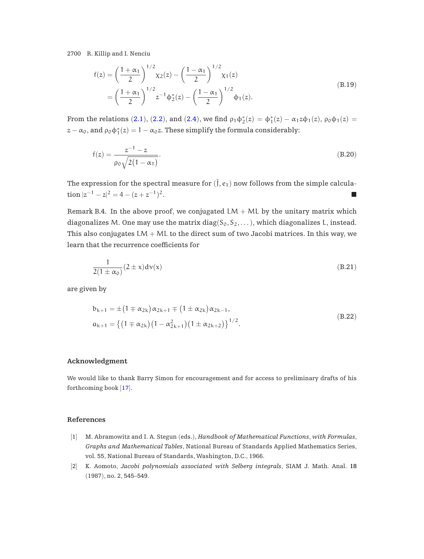<span id="page-35-0"></span>
$$
f(z) = \left(\frac{1+\alpha_1}{2}\right)^{1/2} \chi_2(z) - \left(\frac{1-\alpha_1}{2}\right)^{1/2} \chi_1(z)
$$
  
= 
$$
\left(\frac{1+\alpha_1}{2}\right)^{1/2} z^{-1} \phi_2^*(z) - \left(\frac{1-\alpha_1}{2}\right)^{1/2} \phi_1(z).
$$
 (B.19)

From the relations ([2.1](#page-6-0)), ([2.2](#page-6-0)), and ([2.4](#page-6-0)), we find  $\rho_1\phi_2^*(z)=\phi_1^*(z)-\alpha_1z\phi_1(z),$   $\rho_0\phi_1(z)=$  $z - \alpha_0$ , and  $ρ_0 φ_1^*(z) = 1 - \alpha_0 z$ . These simplify the formula considerably:

$$
f(z) = \frac{z^{-1} - z}{\rho_0 \sqrt{2(1 - \alpha_1)}}.
$$
\n(B.20)

The expression for the spectral measure for  $(\tilde{J}, e_1)$  now follows from the simple calculation  $|z^{-1} - z|^2 = 4 - (z + z^{-1})^2$ .

Remark B.4. In the above proof, we conjugated  $LM + ML$  by the unitary matrix which diagonalizes M. One may use the matrix diag( $S_0, S_2, \ldots$ ), which diagonalizes L, instead. This also conjugates  $LM + ML$  to the direct sum of two Jacobi matrices. In this way, we learn that the recurrence coefficients for

$$
\frac{1}{2(1 \pm \alpha_0)} (2 \pm x) d\nu(x)
$$
\n(B.21)

are given by

$$
b_{k+1} = \pm (1 \mp \alpha_{2k}) \alpha_{2k+1} \mp (1 \pm \alpha_{2k}) \alpha_{2k-1},
$$
  
\n
$$
a_{k+1} = \{ (1 \mp \alpha_{2k}) (1 - \alpha_{2k+1}^2) (1 \pm \alpha_{2k+2}) \}^{1/2}.
$$
\n(B.22)

#### **Acknowledgment**

We would like to thank Barry Simon for encouragement and for access to preliminary drafts of his forthcoming book [[17](#page-36-0)].

# **References**

- [1] M. Abramowitz and I. A. Stegun (eds.), *Handbook of Mathematical Functions, with Formulas, Graphs and Mathematical Tables*, National Bureau of Standards Applied Mathematics Series, vol. 55, National Bureau of Standards, Washington, D.C., 1966.
- [2] K. Aomoto, *Jacobi polynomials associated with Selberg integrals*, SIAM J. Math. Anal. **18** (1987), no. 2, 545–549.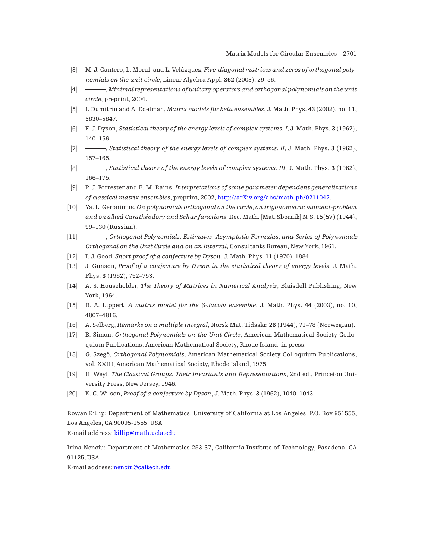- <span id="page-36-0"></span>[3] M. J. Cantero, L. Moral, and L. Velázquez, *Five-diagonal matrices and zeros of orthogonal polynomials on the unit circle*, Linear Algebra Appl. **362** (2003), 29–56.
- [4] , *Minimal representations of unitary operators and orthogonal polynomials on the unit circle*, preprint, 2004.
- [5] I. Dumitriu and A. Edelman, *Matrix models for beta ensembles*, J. Math. Phys. **43** (2002), no. 11, 5830–5847.
- [6] F. J. Dyson, *Statistical theory of the energy levels of complex systems. I*, J. Math. Phys. **3** (1962), 140–156.
- [7] , *Statistical theory of the energy levels of complex systems. II*, J. Math. Phys. **3** (1962), 157–165.
- [8] , *Statistical theory of the energy levels of complex systems. III*, J. Math. Phys. **3** (1962), 166–175.
- [9] P. J. Forrester and E. M. Rains, *Interpretations of some parameter dependent generalizations of classical matrix ensembles*, preprint, 2002, [http://arXiv.org/abs/math-ph/0211042.](http://arXiv.org/abs/math-ph/0211042)
- [10] Ya. L. Geronimus, *On polynomials orthogonal on the circle, on trigonometric moment-problem and on allied Caratheodory and Schur functions ´* , Rec. Math. [Mat. Sbornik] N. S. **15(57)** (1944), 99–130 (Russian).
- [11] , *Orthogonal Polynomials: Estimates, Asymptotic Formulas, and Series of Polynomials Orthogonal on the Unit Circle and on an Interval*, Consultants Bureau, New York, 1961.
- [12] I. J. Good, *Short proof of a conjecture by Dyson*, J. Math. Phys. **11** (1970), 1884.
- [13] J. Gunson, *Proof of a conjecture by Dyson in the statistical theory of energy levels*, J. Math. Phys. **3** (1962), 752–753.
- [14] A. S. Householder, *The Theory of Matrices in Numerical Analysis*, Blaisdell Publishing, New York, 1964.
- [15] R. A. Lippert, *A matrix model for the* β*-Jacobi ensemble*, J. Math. Phys. **44** (2003), no. 10, 4807–4816.
- [16] A. Selberg, *Remarks on a multiple integral*, Norsk Mat. Tidsskr. **26** (1944), 71–78 (Norwegian).
- [17] B. Simon, *Orthogonal Polynomials on the Unit Circle*, American Mathematical Society Colloquium Publications, American Mathematical Society, Rhode Island, in press.
- [18] G. Szegő, *Orthogonal Polynomials*, American Mathematical Society Colloquium Publications, vol. XXIII, American Mathematical Society, Rhode Island, 1975.
- [19] H. Weyl, *The Classical Groups: Their Invariants and Representations*, 2nd ed., Princeton University Press, New Jersey, 1946.
- [20] K. G. Wilson, *Proof of a conjecture by Dyson*, J. Math. Phys. **3** (1962), 1040–1043.

Rowan Killip: Department of Mathematics, University of California at Los Angeles, P.O. Box 951555, Los Angeles, CA 90095-1555, USA

E-mail address: [killip@math.ucla.edu](mailto:killip@math.ucla.edu)

Irina Nenciu: Department of Mathematics 253-37, California Institute of Technology, Pasadena, CA 91125, USA

E-mail address: [nenciu@caltech.edu](mailto:nenciu@caltech.edu)